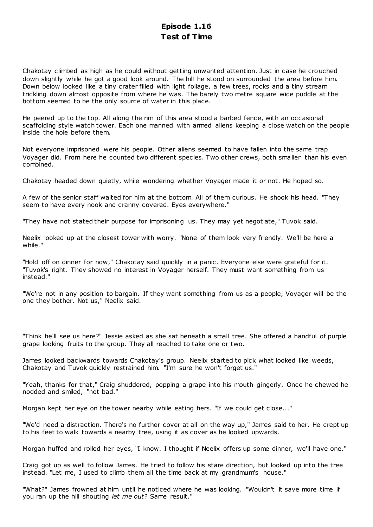# **Episode 1.16 Test of Time**

Chakotay climbed as high as he could without getting unwanted attention. Just in case he crouched down slightly while he got a good look around. The hill he stood on surrounded the area before him. Down below looked like a tiny crater filled with light foliage, a few trees, rocks and a tiny stream trickling down almost opposite from where he was. The barely two metre square wide puddle at the bottom seemed to be the only source of water in this place.

He peered up to the top. All along the rim of this area stood a barbed fence, with an occasional scaffolding style watch tower. Each one manned with armed aliens keeping a close watch on the people inside the hole before them.

Not everyone imprisoned were his people. Other aliens seemed to have fallen into the same trap Voyager did. From here he counted two different species. Two other crews, both smaller than his even combined.

Chakotay headed down quietly, while wondering whether Voyager made it or not. He hoped so.

A few of the senior staff waited for him at the bottom. All of them curious. He shook his head. "They seem to have every nook and cranny covered. Eyes everywhere."

"They have not stated their purpose for imprisoning us. They may yet negotiate," Tuvok said.

Neelix looked up at the closest tower with worry. "None of them look very friendly. We'll be here a while."

"Hold off on dinner for now," Chakotay said quickly in a panic. Everyone else were grateful for it. "Tuvok's right. They showed no interest in Voyager herself. They must want something from us instead."

"We're not in any position to bargain. If they want something from us as a people, Voyager will be the one they bother. Not us," Neelix said.

"Think he'll see us here?" Jessie asked as she sat beneath a small tree. She offered a handful of purple grape looking fruits to the group. They all reached to take one or two.

James looked backwards towards Chakotay's group. Neelix started to pick what looked like weeds, Chakotay and Tuvok quickly restrained him. "I'm sure he won't forget us."

"Yeah, thanks for that," Craig shuddered, popping a grape into his mouth gingerly. Once he chewed he nodded and smiled, "not bad."

Morgan kept her eye on the tower nearby while eating hers. "If we could get close..."

"We'd need a distraction. There's no further cover at all on the way up," James said to her. He crept up to his feet to walk towards a nearby tree, using it as cover as he looked upwards.

Morgan huffed and rolled her eyes, "I know. I thought if Neelix offers up some dinner, we'll have one."

Craig got up as well to follow James. He tried to follow his stare direction, but looked up into the tree instead. "Let me, I used to climb them all the time back at my grandmum's house."

"What?" James frowned at him until he noticed where he was looking. "Wouldn't it save more time if you ran up the hill shouting *let me out*? Same result."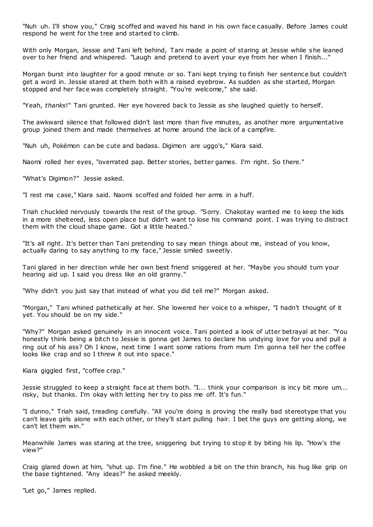"Nuh uh. I'll show you," Craig scoffed and waved his hand in his own face casually. Before James could respond he went for the tree and started to climb.

With only Morgan, Jessie and Tani left behind, Tani made a point of staring at Jessie while she leaned over to her friend and whispered. "Laugh and pretend to avert your eye from her when I finish..."

Morgan burst into laughter for a good minute or so. Tani kept trying to finish her sentence but couldn't get a word in. Jessie stared at them both with a raised eyebrow. As sudden as she started, Morgan stopped and her face was completely straight. "You're welcome," she said.

"Yeah, *thanks*!" Tani grunted. Her eye hovered back to Jessie as she laughed quietly to herself.

The awkward silence that followed didn't last more than five minutes, as another more argumentative group joined them and made themselves at home around the lack of a campfire.

"Nuh uh, Pokémon can be cute and badass. Digimon are uggo's," Kiara said.

Naomi rolled her eyes, "overrated pap. Better stories, better games. I'm right. So there."

"What's Digimon?" Jessie asked.

"I rest ma case," Kiara said. Naomi scoffed and folded her arms in a huff.

Triah chuckled nervously towards the rest of the group. "Sorry. Chakotay wanted me to keep the kids in a more sheltered, less open place but didn't want to lose his command point. I was trying to distract them with the cloud shape game. Got a little heated."

"It's all right. It's better than Tani pretending to say mean things about me, instead of you know, actually daring to say anything to my face," Jessie smiled sweetly.

Tani glared in her direction while her own best friend sniggered at her. "Maybe you should turn your hearing aid up. I said you dress like an old granny."

"Why didn't you just say that instead of what you did tell me?" Morgan asked.

"Morgan," Tani whined pathetically at her. She lowered her voice to a whisper, "I hadn't thought of it yet. You should be on my side."

"Why?" Morgan asked genuinely in an innocent voice. Tani pointed a look of utter betrayal at her. "You honestly think being a bitch to Jessie is gonna get James to declare his undying love for you and pull a ring out of his ass? Oh I know, next time I want some rations from mum I'm gonna tell her the coffee looks like crap and so I threw it out into space."

Kiara giggled first, "coffee crap."

Jessie struggled to keep a straight face at them both. "I... think your comparison is incy bit more um... risky, but thanks. I'm okay with letting her try to piss me off. It's fun."

"I dunno," Triah said, treading carefully. "All you're doing is proving the really bad stereotype that you can't leave girls alone with each other, or they'll start pulling hair. I bet the guys are getting along, we can't let them win."

Meanwhile James was staring at the tree, sniggering but trying to stop it by biting his lip. "How's the view?"

Craig glared down at him, "shut up. I'm fine." He wobbled a bit on the thin branch, his hug like grip on the base tightened. "Any ideas?" he asked meekly.

"Let go," James replied.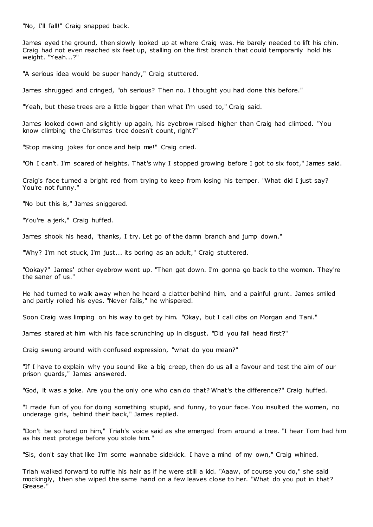"No, I'll fall!" Craig snapped back.

James eyed the ground, then slowly looked up at where Craig was. He barely needed to lift his chin. Craig had not even reached six feet up, stalling on the first branch that could temporarily hold his weight. "Yeah...?"

"A serious idea would be super handy," Craig stuttered.

James shrugged and cringed, "oh serious? Then no. I thought you had done this before."

"Yeah, but these trees are a little bigger than what I'm used to," Craig said.

James looked down and slightly up again, his eyebrow raised higher than Craig had climbed. "You know climbing the Christmas tree doesn't count, right?"

"Stop making jokes for once and help me!" Craig cried.

"Oh I can't. I'm scared of heights. That's why I stopped growing before I got to six foot," James said.

Craig's face turned a bright red from trying to keep from losing his temper. "What did I just say? You're not funny."

"No but this is," James sniggered.

"You're a jerk," Craig huffed.

James shook his head, "thanks, I try. Let go of the damn branch and jump down."

"Why? I'm not stuck, I'm just... its boring as an adult," Craig stuttered.

"Ookay?" James' other eyebrow went up. "Then get down. I'm gonna go back to the women. They're the saner of us."

He had turned to walk away when he heard a clatter behind him, and a painful grunt. James smiled and partly rolled his eyes. "Never fails," he whispered.

Soon Craig was limping on his way to get by him. "Okay, but I call dibs on Morgan and Tani."

James stared at him with his face scrunching up in disgust. "Did you fall head first?"

Craig swung around with confused expression, "what do you mean?"

"If I have to explain why you sound like a big creep, then do us all a favour and test the aim of our prison guards," James answered.

"God, it was a joke. Are you the only one who can do that? What's the difference?" Craig huffed.

"I made fun of you for doing something stupid, and funny, to your face. You insulted the women, no underage girls, behind their back," James replied.

"Don't be so hard on him," Triah's voice said as she emerged from around a tree. "I hear Tom had him as his next protege before you stole him."

"Sis, don't say that like I'm some wannabe sidekick. I have a mind of my own," Craig whined.

Triah walked forward to ruffle his hair as if he were still a kid. "Aaaw, of course you do," she said mockingly, then she wiped the same hand on a few leaves close to her. "What do you put in that? Grease."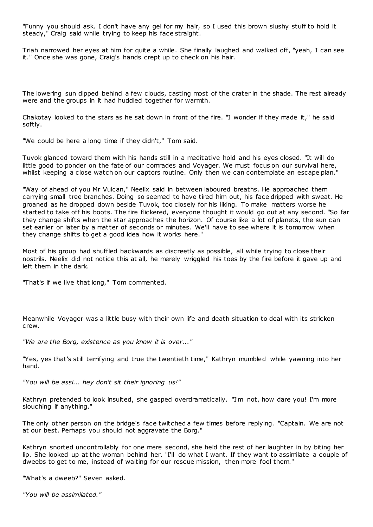"Funny you should ask. I don't have any gel for my hair, so I used this brown slushy stuff to hold it steady," Craig said while trying to keep his face straight.

Triah narrowed her eyes at him for quite a while. She finally laughed and walked off, "yeah, I can see it." Once she was gone, Craig's hands crept up to check on his hair.

The lowering sun dipped behind a few clouds, casting most of the crater in the shade. The rest already were and the groups in it had huddled together for warmth.

Chakotay looked to the stars as he sat down in front of the fire. "I wonder if they made it," he said softly.

"We could be here a long time if they didn't," Tom said.

Tuvok glanced toward them with his hands still in a meditative hold and his eyes closed. "It will do little good to ponder on the fate of our comrades and Voyager. We must focus on our survival here, whilst keeping a close watch on our captors routine. Only then we can contemplate an escape plan.

"Way of ahead of you Mr Vulcan," Neelix said in between laboured breaths. He approached them carrying small tree branches. Doing so seemed to have tired him out, his face dripped with sweat. He groaned as he dropped down beside Tuvok, too closely for his liking. To make matters worse he started to take off his boots. The fire flickered, everyone thought it would go out at any second. "So far they change shifts when the star approaches the horizon. Of course like a lot of planets, the sun can set earlier or later by a matter of seconds or minutes. We'll have to see where it is tomorrow when they change shifts to get a good idea how it works here."

Most of his group had shuffled backwards as discreetly as possible, all while trying to close their nostrils. Neelix did not notice this at all, he merely wriggled his toes by the fire before it gave up and left them in the dark.

"That's if we live that long," Tom commented.

Meanwhile Voyager was a little busy with their own life and death situation to deal with its stricken crew.

*"We are the Borg, existence as you know it is over..."*

"Yes, yes that's still terrifying and true the twentieth time," Kathryn mumbled while yawning into her hand.

*"You will be assi... hey don't sit their ignoring us!"*

Kathryn pretended to look insulted, she gasped overdramatically. "I'm not, how dare you! I'm more slouching if anything."

The only other person on the bridge's face twitched a few times before replying. "Captain. We are not at our best. Perhaps you should not aggravate the Borg."

Kathryn snorted uncontrollably for one mere second, she held the rest of her laughter in by biting her lip. She looked up at the woman behind her. "I'll do what I want. If they want to assimilate a couple of dweebs to get to me, instead of waiting for our rescue mission, then more fool them."

"What's a dweeb?" Seven asked.

*"You will be assimilated."*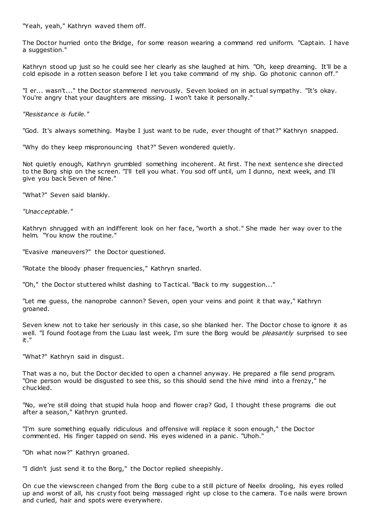"Yeah, yeah," Kathryn waved them off.

The Doctor hurried onto the Bridge, for some reason wearing a command red uniform. "Captain. I have a suggestion."

Kathryn stood up just so he could see her clearly as she laughed at him. "Oh, keep dreaming. It'll be a cold episode in a rotten season before I let you take command of my ship. Go photonic cannon off."

"I er... wasn't..." the Doctor stammered nervously. Seven looked on in actual sympathy. "It's okay. You're angry that your daughters are missing. I won't take it personally."

*"Resistance is futile."*

"God. It's always something. Maybe I just want to be rude, ever thought of that?" Kathryn snapped.

"Why do they keep mispronouncing that?" Seven wondered quietly.

Not quietly enough, Kathryn grumbled something incoherent. At first. The next sentence she directed to the Borg ship on the screen. "I'll tell you what. You sod off until, um I dunno, next week, and I'll give you back Seven of Nine."

"What?" Seven said blankly.

*"Unacceptable."*

Kathryn shrugged with an indifferent look on her face, "worth a shot." She made her way over to the helm. "You know the routine."

"Evasive maneuvers?" the Doctor questioned.

"Rotate the bloody phaser frequencies," Kathryn snarled.

"Oh," the Doctor stuttered whilst dashing to Tactical. "Back to my suggestion..."

"Let me guess, the nanoprobe cannon? Seven, open your veins and point it that way," Kathryn groaned.

Seven knew not to take her seriously in this case, so she blanked her. The Doctor chose to ignore it as well. "I found footage from the Luau last week, I'm sure the Borg would be *pleasantly* surprised to see it."

"What?" Kathryn said in disgust.

That was a no, but the Doctor decided to open a channel anyway. He prepared a file send program. "One person would be disgusted to see this, so this should send the hive mind into a frenzy," he chuckled.

"No, we're still doing that stupid hula hoop and flower crap? God, I thought these programs die out after a season," Kathryn grunted.

"I'm sure something equally ridiculous and offensive will replace it soon enough," the Doctor commented. His finger tapped on send. His eyes widened in a panic . "Uhoh."

"Oh what now?" Kathryn groaned.

"I didn't just send it to the Borg," the Doctor replied sheepishly.

On cue the viewscreen changed from the Borg cube to a still picture of Neelix drooling, his eyes rolled up and worst of all, his crusty foot being massaged right up close to the camera. Toe nails were brown and curled, hair and spots were everywhere.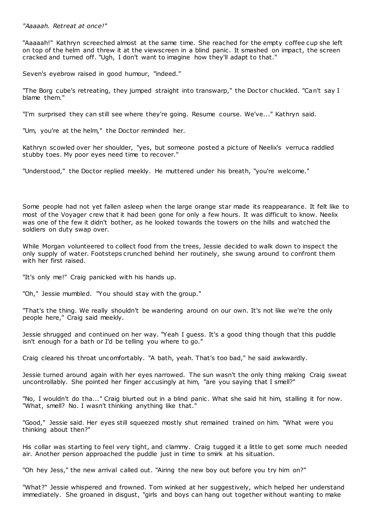## *"Aaaaah. Retreat at once!"*

"Aaaaah!" Kathryn screeched almost at the same time. She reached for the empty coffee cup she left on top of the helm and threw it at the viewscreen in a blind panic . It smashed on impact, the screen cracked and turned off. "Ugh, I don't want to imagine how they'll adapt to that."

Seven's eyebrow raised in good humour, "indeed."

"The Borg cube's retreating, they jumped straight into transwarp," the Doctor chuckled. "Can't say I blame them."

"I'm surprised they can still see where they're going. Resume course. We've..." Kathryn said.

"Um, you're at the helm," the Doctor reminded her.

Kathryn scowled over her shoulder, "yes, but someone posted a picture of Neelix's verruca raddled stubby toes. My poor eyes need time to recover."

"Understood," the Doctor replied meekly. He muttered under his breath, "you're welcome."

Some people had not yet fallen asleep when the large orange star made its reappearance. It felt like to most of the Voyager crew that it had been gone for only a few hours. It was difficult to know. Neelix was one of the few it didn't bother, as he looked towards the towers on the hills and watched the soldiers on duty swap over.

While Morgan volunteered to collect food from the trees, Jessie decided to walk down to inspect the only supply of water. Footsteps crunched behind her routinely, she swung around to confront them with her first raised.

"It's only me!" Craig panicked with his hands up.

"Oh," Jessie mumbled. "You should stay with the group."

"That's the thing. We really shouldn't be wandering around on our own. It's not like we're the only people here," Craig said meekly.

Jessie shrugged and continued on her way. "Yeah I guess. It's a good thing though that this puddle isn't enough for a bath or I'd be telling you where to go."

Craig cleared his throat uncomfortably. "A bath, yeah. That's too bad," he said awkwardly.

Jessie turned around again with her eyes narrowed. The sun wasn't the only thing making Craig sweat uncontrollably. She pointed her finger accusingly at him, "are you saying that I smell?"

"No, I wouldn't do tha..." Craig blurted out in a blind panic. What she said hit him, stalling it for now. "What, smell? No. I wasn't thinking anything like that."

"Good," Jessie said. Her eyes still squeezed mostly shut remained trained on him. "What were you thinking about then?"

His collar was starting to feel very tight, and clammy. Craig tugged it a little to get some much needed air. Another person approached the puddle just in time to smirk at his situation.

"Oh hey Jess," the new arrival called out. "Airing the new boy out before you try him on?"

"What?" Jessie whispered and frowned. Tom winked at her suggestively, which helped her understand immediately. She groaned in disgust, "girls and boys can hang out together without wanting to make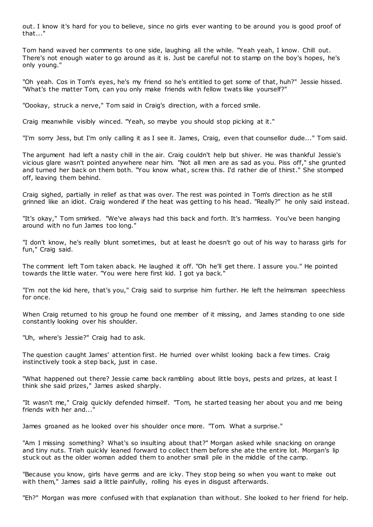out. I know it's hard for you to believe, since no girls ever wanting to be around you is good proof of that..."

Tom hand waved her comments to one side, laughing all the while. "Yeah yeah, I know. Chill out. There's not enough water to go around as it is. Just be careful not to stamp on the boy's hopes, he's only young."

"Oh yeah. Cos in Tom's eyes, he's my friend so he's entitled to get some of that, huh?" Jessie hissed. "What's the matter Tom, can you only make friends with fellow twats like yourself?"

"Oookay, struck a nerve," Tom said in Craig's direction, with a forced smile.

Craig meanwhile visibly winced. "Yeah, so maybe you should stop picking at it."

"I'm sorry Jess, but I'm only calling it as I see it. James, Craig, even that counsellor dude..." Tom said.

The argument had left a nasty chill in the air. Craig couldn't help but shiver. He was thankful Jessie's vicious glare wasn't pointed anywhere near him. "Not all men are as sad as you. Piss off," she grunted and turned her back on them both. "You know what, screw this. I'd rather die of thirst." She stomped off, leaving them behind.

Craig sighed, partially in relief as that was over. The rest was pointed in Tom's direction as he still grinned like an idiot. Craig wondered if the heat was getting to his head. "Really?" he only said instead.

"It's okay," Tom smirked. "We've always had this back and forth. It's harmless. You've been hanging around with no fun James too long."

"I don't know, he's really blunt sometimes, but at least he doesn't go out of his way to harass girls for fun," Craig said.

The comment left Tom taken aback. He laughed it off. "Oh he'll get there. I assure you." He pointed towards the little water. "You were here first kid. I got ya back."

"I'm not the kid here, that's you," Craig said to surprise him further. He left the helmsman speechless for once.

When Craig returned to his group he found one member of it missing, and James standing to one side constantly looking over his shoulder.

"Uh, where's Jessie?" Craig had to ask.

The question caught James' attention first. He hurried over whilst looking back a few times. Craig instinctively took a step back, just in case.

"What happened out there? Jessie came back rambling about little boys, pests and prizes, at least I think she said prizes," James asked sharply.

"It wasn't me," Craig quickly defended himself. "Tom, he started teasing her about you and me being friends with her  $and...$ 

James groaned as he looked over his shoulder once more. "Tom. What a surprise."

"Am I missing something? What's so insulting about that?" Morgan asked while snacking on orange and tiny nuts. Triah quickly leaned forward to collect them before she ate the entire lot. Morgan's lip stuck out as the older woman added them to another small pile in the middle of the camp.

"Because you know, girls have germs and are icky. They stop being so when you want to make out with them," James said a little painfully, rolling his eyes in disgust afterwards.

"Eh?" Morgan was more confused with that explanation than without. She looked to her friend for help.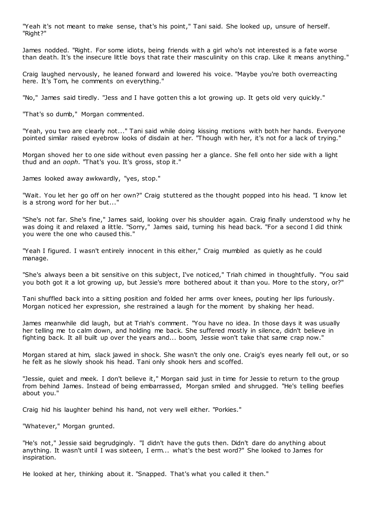"Yeah it's not meant to make sense, that's his point," Tani said. She looked up, unsure of herself. "Right?"

James nodded. "Right. For some idiots, being friends with a girl who's not interested is a fate worse than death. It's the insecure little boys that rate their masculinity on this crap. Like it means anything."

Craig laughed nervously, he leaned forward and lowered his voice. "Maybe you're both overreacting here. It's Tom, he comments on everything."

"No," James said tiredly. "Jess and I have gotten this a lot growing up. It gets old very quickly."

"That's so dumb," Morgan commented.

"Yeah, you two are clearly not..." Tani said while doing kissing motions with both her hands. Everyone pointed similar raised eyebrow looks of disdain at her. "Though with her, it's not for a lack of trying."

Morgan shoved her to one side without even passing her a glance. She fell onto her side with a light thud and an *ooph*. "That's you. It's gross, stop it."

James looked away awkwardly, "yes, stop."

"Wait. You let her go off on her own?" Craig stuttered as the thought popped into his head. "I know let is a strong word for her but..."

"She's not far. She's fine," James said, looking over his shoulder again. Craig finally understood w hy he was doing it and relaxed a little. "Sorry," James said, turning his head back. "For a second I did think you were the one who caused this."

"Yeah I figured. I wasn't entirely innocent in this either," Craig mumbled as quietly as he could manage.

"She's always been a bit sensitive on this subject, I've noticed," Triah chimed in thoughtfully. "You said you both got it a lot growing up, but Jessie's more bothered about it than you. More to the story, or?"

Tani shuffled back into a sitting position and folded her arms over knees, pouting her lips furiously. Morgan noticed her expression, she restrained a laugh for the moment by shaking her head.

James meanwhile did laugh, but at Triah's comment. "You have no idea. In those days it was usually her telling me to calm down, and holding me back. She suffered mostly in silence, didn't believe in fighting back. It all built up over the years and... boom, Jessie won't take that same crap now."

Morgan stared at him, slack jawed in shock. She wasn't the only one. Craig's eyes nearly fell out, or so he felt as he slowly shook his head. Tani only shook hers and scoffed.

"Jessie, quiet and meek. I don't believe it," Morgan said just in time for Jessie to return to the group from behind James. Instead of being embarrassed, Morgan smiled and shrugged. "He's telling beefies about you."

Craig hid his laughter behind his hand, not very well either. "Porkies."

"Whatever," Morgan grunted.

"He's not," Jessie said begrudgingly. "I didn't have the guts then. Didn't dare do anything about anything. It wasn't until I was sixteen, I erm... what's the best word?" She looked to James for inspiration.

He looked at her, thinking about it. "Snapped. That's what you called it then."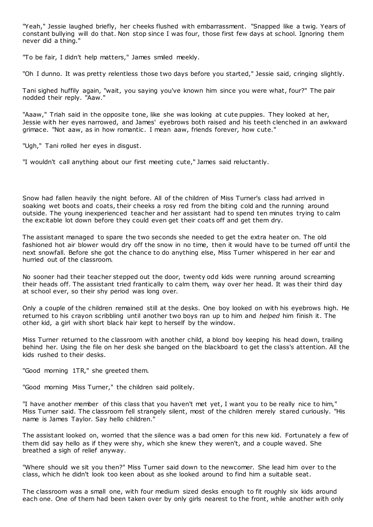"Yeah," Jessie laughed briefly, her cheeks flushed with embarrassment. "Snapped like a twig. Years of constant bullying will do that. Non stop since I was four, those first few days at school. Ignoring them never did a thing."

"To be fair, I didn't help matters," James smiled meekly.

"Oh I dunno. It was pretty relentless those two days before you started," Jessie said, cringing slightly.

Tani sighed huffily again, "wait, you saying you've known him since you were what, four?" The pair nodded their reply. "Aaw."

"Aaaw," Triah said in the opposite tone, like she was looking at cute puppies. They looked at her, Jessie with her eyes narrowed, and James' eyebrows both raised and his teeth clenched in an awkward grimace. "Not aaw, as in how romantic . I mean aaw, friends forever, how cute."

"Ugh," Tani rolled her eyes in disgust.

"I wouldn't call anything about our first meeting cute," James said reluctantly.

Snow had fallen heavily the night before. All of the children of Miss Turner's class had arrived in soaking wet boots and coats, their cheeks a rosy red from the biting cold and the running around outside. The young inexperienced teacher and her assistant had to spend ten minutes trying to calm the excitable lot down before they could even get their coats off and get them dry.

The assistant managed to spare the two seconds she needed to get the extra heater on. The old fashioned hot air blower would dry off the snow in no time, then it would have to be turned off until the next snowfall. Before she got the chance to do anything else, Miss Turner whispered in her ear and hurried out of the classroom.

No sooner had their teacher stepped out the door, twenty odd kids were running around screaming their heads off. The assistant tried frantically to calm them, way over her head. It was their third day at school ever, so their shy period was long over.

Only a couple of the children remained still at the desks. One boy looked on with his eyebrows high. He returned to his crayon scribbling until another two boys ran up to him and *helped* him finish it. The other kid, a girl with short black hair kept to herself by the window.

Miss Turner returned to the classroom with another child, a blond boy keeping his head down, trailing behind her. Using the file on her desk she banged on the blackboard to get the class's attention. All the kids rushed to their desks.

"Good morning 1TR," she greeted them.

"Good morning Miss Turner," the children said politely.

"I have another member of this class that you haven't met yet, I want you to be really nice to him," Miss Turner said. The classroom fell strangely silent, most of the children merely stared curiously. "His name is James Taylor. Say hello children."

The assistant looked on, worried that the silence was a bad omen for this new kid. Fortunately a few of them did say hello as if they were shy, which she knew they weren't, and a couple waved. She breathed a sigh of relief anyway.

"Where should we sit you then?" Miss Turner said down to the newcomer. She lead him over to the class, which he didn't look too keen about as she looked around to find him a suitable seat.

The classroom was a small one, with four medium sized desks enough to fit roughly six kids around each one. One of them had been taken over by only girls nearest to the front, while another with only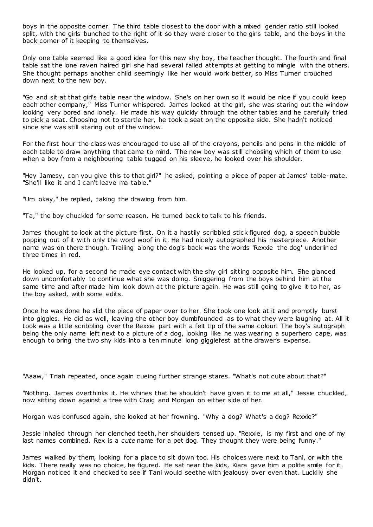boys in the opposite corner. The third table closest to the door with a mixed gender ratio still looked split, with the girls bunched to the right of it so they were closer to the girls table, and the boys in the back corner of it keeping to themselves.

Only one table seemed like a good idea for this new shy boy, the teacher thought. The fourth and final table sat the lone raven haired girl she had several failed attempts at getting to mingle with the others. She thought perhaps another child seemingly like her would work better, so Miss Turner crouched down next to the new boy.

"Go and sit at that girl's table near the window. She's on her own so it would be nice if you could keep each other company," Miss Turner whispered. James looked at the girl, she was staring out the window looking very bored and lonely. He made his way quickly through the other tables and he carefully tried to pick a seat. Choosing not to startle her, he took a seat on the opposite side. She hadn't noticed since she was still staring out of the window.

For the first hour the class was encouraged to use all of the crayons, pencils and pens in the middle of each table to draw anything that came to mind. The new boy was still choosing which of them to use when a boy from a neighbouring table tugged on his sleeve, he looked over his shoulder.

"Hey Jamesy, can you give this to that girl?" he asked, pointing a piece of paper at James' table-mate. "She'll like it and I can't leave ma table."

"Um okay," he replied, taking the drawing from him.

"Ta," the boy chuckled for some reason. He turned back to talk to his friends.

James thought to look at the picture first. On it a hastily scribbled stick figured dog, a speech bubble popping out of it with only the word woof in it. He had nicely autographed his masterpiece. Another name was on there though. Trailing along the dog's back was the words 'Rexxie the dog' underlined three times in red.

He looked up, for a second he made eye contact with the shy girl sitting opposite him. She glanced down uncomfortably to continue what she was doing. Sniggering from the boys behind him at the same time and after made him look down at the picture again. He was still going to give it to her, as the boy asked, with some edits.

Once he was done he slid the piece of paper over to her. She took one look at it and promptly burst into giggles. He did as well, leaving the other boy dumbfounded as to what they were laughing at. All it took was a little scribbling over the Rexxie part with a felt tip of the same colour. The boy's autograph being the only name left next to a picture of a dog, looking like he was wearing a superhero cape, was enough to bring the two shy kids into a ten minute long gigglefest at the drawer's expense.

"Aaaw," Triah repeated, once again cueing further strange stares. "What's not cute about that?"

"Nothing. James overthinks it. He whines that he shouldn't have given it to me at all," Jessie chuckled, now sitting down against a tree with Craig and Morgan on either side of her.

Morgan was confused again, she looked at her frowning. "Why a dog? What's a dog? Rexxie?"

Jessie inhaled through her clenched teeth, her shoulders tensed up. "Rexxie, is my first and one of my last names combined. Rex is a *cute* name for a pet dog. They thought they were being funny."

James walked by them, looking for a place to sit down too. His choices were next to Tani, or with the kids. There really was no choice, he figured. He sat near the kids, Kiara gave him a polite smile for it. Morgan noticed it and checked to see if Tani would seethe with jealousy over even that. Luckily she didn't.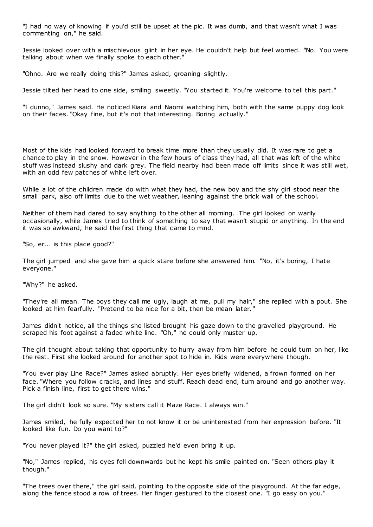"I had no way of knowing if you'd still be upset at the pic . It was dumb, and that wasn't what I was commenting on," he said.

Jessie looked over with a mischievous glint in her eye. He couldn't help but feel worried. "No. You were talking about when we finally spoke to each other."

"Ohno. Are we really doing this?" James asked, groaning slightly.

Jessie tilted her head to one side, smiling sweetly. "You started it. You're welcome to tell this part."

"I dunno," James said. He noticed Kiara and Naomi watching him, both with the same puppy dog look on their faces. "Okay fine, but it's not that interesting. Boring actually."

Most of the kids had looked forward to break time more than they usually did. It was rare to get a chance to play in the snow. However in the few hours of class they had, all that was left of the white stuff was instead slushy and dark grey. The field nearby had been made off limits since it was still wet, with an odd few patches of white left over.

While a lot of the children made do with what they had, the new boy and the shy girl stood near the small park, also off limits due to the wet weather, leaning against the brick wall of the school.

Neither of them had dared to say anything to the other all morning. The girl looked on warily occasionally, while James tried to think of something to say that wasn't stupid or anything. In the end it was so awkward, he said the first thing that came to mind.

"So, er... is this place good?"

The girl jumped and she gave him a quick stare before she answered him. "No, it's boring, I hate everyone."

"Why?" he asked.

"They're all mean. The boys they call me ugly, laugh at me, pull my hair," she replied with a pout. She looked at him fearfully. "Pretend to be nice for a bit, then be mean later."

James didn't notice, all the things she listed brought his gaze down to the gravelled playground. He scraped his foot against a faded white line. "Oh," he could only muster up.

The girl thought about taking that opportunity to hurry away from him before he could turn on her, like the rest. First she looked around for another spot to hide in. Kids were everywhere though.

"You ever play Line Race?" James asked abruptly. Her eyes briefly widened, a frown formed on her face. "Where you follow cracks, and lines and stuff. Reach dead end, turn around and go another way. Pick a finish line, first to get there wins."

The girl didn't look so sure. "My sisters call it Maze Race. I always win."

James smiled, he fully expected her to not know it or be uninterested from her expression before. "It looked like fun. Do you want to?"

"You never played it?" the girl asked, puzzled he'd even bring it up.

"No," James replied, his eyes fell downwards but he kept his smile painted on. "Seen others play it though."

"The trees over there," the girl said, pointing to the opposite side of the playground. At the far edge, along the fence stood a row of trees. Her finger gestured to the closest one. "I go easy on you."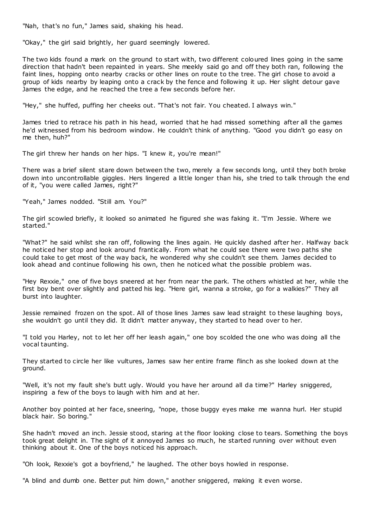"Nah, that's no fun," James said, shaking his head.

"Okay," the girl said brightly, her guard seemingly lowered.

The two kids found a mark on the ground to start with, two different coloured lines going in the same direction that hadn't been repainted in years. She meekly said go and off they both ran, following the faint lines, hopping onto nearby cracks or other lines on route to the tree. The girl chose to avoid a group of kids nearby by leaping onto a crack by the fence and following it up. Her slight detour gave James the edge, and he reached the tree a few seconds before her.

"Hey," she huffed, puffing her cheeks out. "That's not fair. You cheated. I always win."

James tried to retrace his path in his head, worried that he had missed something after all the games he'd witnessed from his bedroom window. He couldn't think of anything. "Good you didn't go easy on me then, huh?"

The girl threw her hands on her hips. "I knew it, you're mean!"

There was a brief silent stare down between the two, merely a few seconds long, until they both broke down into uncontrollable giggles. Hers lingered a little longer than his, she tried to talk through the end of it, "you were called James, right?"

"Yeah," James nodded. "Still am. You?"

The girl scowled briefly, it looked so animated he figured she was faking it. "I'm Jessie. Where we started."

"What?" he said whilst she ran off, following the lines again. He quickly dashed after her. Halfway back he noticed her stop and look around frantically. From what he could see there were two paths she could take to get most of the way back, he wondered why she couldn't see them. James decided to look ahead and continue following his own, then he noticed what the possible problem was.

"Hey Rexxie," one of five boys sneered at her from near the park. The others whistled at her, while the first boy bent over slightly and patted his leg. "Here girl, wanna a stroke, go for a walkies?" They all burst into laughter.

Jessie remained frozen on the spot. All of those lines James saw lead straight to these laughing boys, she wouldn't go until they did. It didn't matter anyway, they started to head over to her.

"I told you Harley, not to let her off her leash again," one boy scolded the one who was doing all the vocal taunting.

They started to circle her like vultures, James saw her entire frame flinch as she looked down at the ground.

"Well, it's not my fault she's butt ugly. Would you have her around all da time?" Harley sniggered, inspiring a few of the boys to laugh with him and at her.

Another boy pointed at her face, sneering, "nope, those buggy eyes make me wanna hurl. Her stupid black hair. So boring."

She hadn't moved an inch. Jessie stood, staring at the floor looking close to tears. Something the boys took great delight in. The sight of it annoyed James so much, he started running over without even thinking about it. One of the boys noticed his approach.

"Oh look, Rexxie's got a boyfriend," he laughed. The other boys howled in response.

"A blind and dumb one. Better put him down," another sniggered, making it even worse.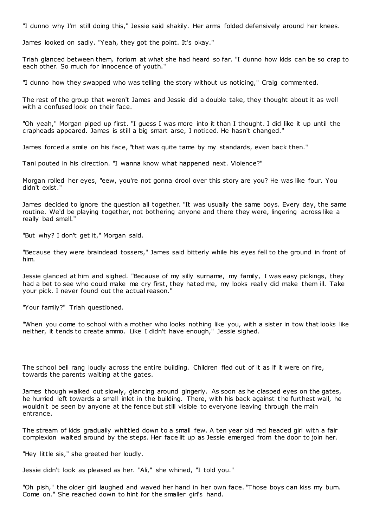"I dunno why I'm still doing this," Jessie said shakily. Her arms folded defensively around her knees.

James looked on sadly. "Yeah, they got the point. It's okay."

Triah glanced between them, forlorn at what she had heard so far. "I dunno how kids can be so crap to each other. So much for innocence of youth."

"I dunno how they swapped who was telling the story without us noticing," Craig commented.

The rest of the group that weren't James and Jessie did a double take, they thought about it as well with a confused look on their face.

"Oh yeah," Morgan piped up first. "I guess I was more into it than I thought. I did like it up until the crapheads appeared. James is still a big smart arse, I noticed. He hasn't changed."

James forced a smile on his face, "that was quite tame by my standards, even back then."

Tani pouted in his direction. "I wanna know what happened next. Violence?"

Morgan rolled her eyes, "eew, you're not gonna drool over this story are you? He was like four. You didn't exist."

James decided to ignore the question all together. "It was usually the same boys. Every day, the same routine. We'd be playing together, not bothering anyone and there they were, lingering across like a really bad smell."

"But why? I don't get it," Morgan said.

"Because they were braindead tossers," James said bitterly while his eyes fell to the ground in front of him.

Jessie glanced at him and sighed. "Because of my silly surname, my family, I was easy pickings, they had a bet to see who could make me cry first, they hated me, my looks really did make them ill. Take your pick. I never found out the actual reason."

"Your family?" Triah questioned.

"When you come to school with a mother who looks nothing like you, with a sister in tow that looks like neither, it tends to create ammo. Like I didn't have enough," Jessie sighed.

The school bell rang loudly across the entire building. Children fled out of it as if it were on fire, towards the parents waiting at the gates.

James though walked out slowly, glancing around gingerly. As soon as he clasped eyes on the gates, he hurried left towards a small inlet in the building. There, with his back against t he furthest wall, he wouldn't be seen by anyone at the fence but still visible to everyone leaving through the main entrance.

The stream of kids gradually whittled down to a small few. A ten year old red headed girl with a fair complexion waited around by the steps. Her face lit up as Jessie emerged from the door to join her.

"Hey little sis," she greeted her loudly.

Jessie didn't look as pleased as her. "Ali," she whined, "I told you."

"Oh pish," the older girl laughed and waved her hand in her own face. "Those boys can kiss my bum. Come on." She reached down to hint for the smaller girl's hand.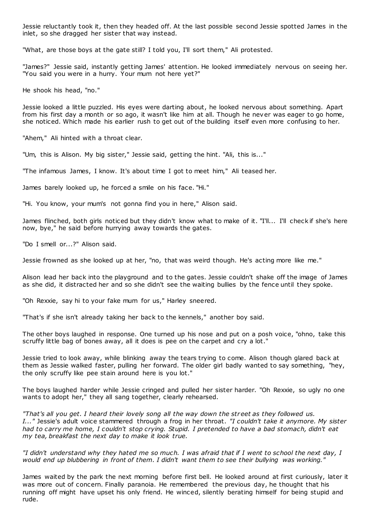Jessie reluctantly took it, then they headed off. At the last possible second Jessie spotted James in the inlet, so she dragged her sister that way instead.

"What, are those boys at the gate still? I told you, I'll sort them," Ali protested.

"James?" Jessie said, instantly getting James' attention. He looked immediately nervous on seeing her. "You said you were in a hurry. Your mum not here yet?"

He shook his head, "no."

Jessie looked a little puzzled. His eyes were darting about, he looked nervous about something. Apart from his first day a month or so ago, it wasn't like him at all. Though he never was eager to go home, she noticed. Which made his earlier rush to get out of the building itself even more confusing to her.

"Ahem," Ali hinted with a throat clear.

"Um, this is Alison. My big sister," Jessie said, getting the hint. "Ali, this is..."

"The infamous James, I know. It's about time I got to meet him," Ali teased her.

James barely looked up, he forced a smile on his face. "Hi."

"Hi. You know, your mum's not gonna find you in here," Alison said.

James flinched, both girls noticed but they didn't know what to make of it. "I'll... I'll check if she's here now, bye," he said before hurrying away towards the gates.

"Do I smell or...?" Alison said.

Jessie frowned as she looked up at her, "no, that was weird though. He's acting more like me."

Alison lead her back into the playground and to the gates. Jessie couldn't shake off the image of James as she did, it distracted her and so she didn't see the waiting bullies by the fence until they spoke.

"Oh Rexxie, say hi to your fake mum for us," Harley sneered.

"That's if she isn't already taking her back to the kennels," another boy said.

The other boys laughed in response. One turned up his nose and put on a posh voice, "ohno, take this scruffy little bag of bones away, all it does is pee on the carpet and cry a lot."

Jessie tried to look away, while blinking away the tears trying to come. Alison though glared back at them as Jessie walked faster, pulling her forward. The older girl badly wanted to say something, "hey, the only scruffy like pee stain around here is you lot."

The boys laughed harder while Jessie cringed and pulled her sister harder. "Oh Rexxie, so ugly no one wants to adopt her," they all sang together, clearly rehearsed.

*"That's all you get. I heard their lovely song all the way down the street as they followed us. I..."* Jessie's adult voice stammered through a frog in her throat. *"I couldn't take it anymore. My sister had to carry me home, I couldn't stop crying. Stupid. I pretended to have a bad stomach, didn't eat my tea, breakfast the next day to make it look true.*

*"I didn't understand why they hated me so much. I was afraid that if I went to school the next day, I would end up blubbering in front of them. I didn't want them to see their bullying was working."*

James waited by the park the next morning before first bell. He looked around at first curiously, later it was more out of concern. Finally paranoia. He remembered the previous day, he thought that his running off might have upset his only friend. He winced, silently berating himself for being stupid and rude.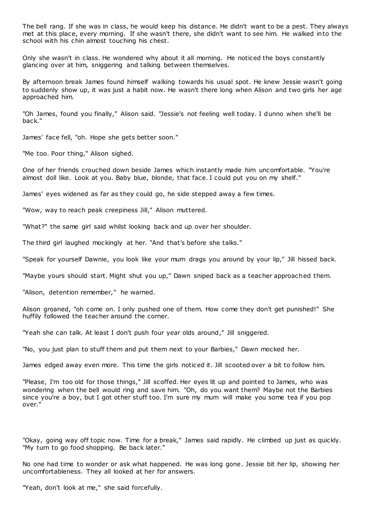The bell rang. If she was in class, he would keep his distance. He didn't want to be a pest. They always met at this place, every morning. If she wasn't there, she didn't want to see him. He walked into the school with his chin almost touching his chest.

Only she wasn't in class. He wondered why about it all morning. He noticed the boys constantly glancing over at him, sniggering and talking between themselves.

By afternoon break James found himself walking towards his usual spot. He knew Jessie wasn't going to suddenly show up, it was just a habit now. He wasn't there long when Alison and two girls her age approached him.

"Oh James, found you finally," Alison said. "Jessie's not feeling well today. I dunno when she'll be back."

James' face fell, "oh. Hope she gets better soon."

"Me too. Poor thing," Alison sighed.

One of her friends crouched down beside James which instantly made him uncomfortable. "You're almost doll like. Look at you. Baby blue, blonde, that face. I could put you on my shelf."

James' eyes widened as far as they could go, he side stepped away a few times.

"Wow, way to reach peak creepiness Jill," Alison muttered.

"What?" the same girl said whilst looking back and up over her shoulder.

The third girl laughed mockingly at her. "And that's before she talks."

"Speak for yourself Dawnie, you look like your mum drags you around by your lip," Jill hissed back.

"Maybe yours should start. Might shut you up," Dawn sniped back as a teacher approached them.

"Alison, detention remember," he warned.

Alison groaned, "oh come on. I only pushed one of them. How come they don't get punished!" She huffily followed the teacher around the corner.

"Yeah she can talk. At least I don't push four year olds around," Jill sniggered.

"No, you just plan to stuff them and put them next to your Barbies," Dawn mocked her.

James edged away even more. This time the girls noticed it. Jill scooted over a bit to follow him.

"Please, I'm too old for those things," Jill scoffed. Her eyes lit up and pointed to James, who was wondering when the bell would ring and save him. "Oh, do you want them? Maybe not the Barbies since you're a boy, but I got other stuff too. I'm sure my mum will make you some tea if you pop over."

"Okay, going way off topic now. Time for a break," James said rapidly. He climbed up just as quickly. "My turn to go food shopping. Be back later."

No one had time to wonder or ask what happened. He was long gone. Jessie bit her lip, showing her uncomfortableness. They all looked at her for answers.

"Yeah, don't look at me," she said forcefully.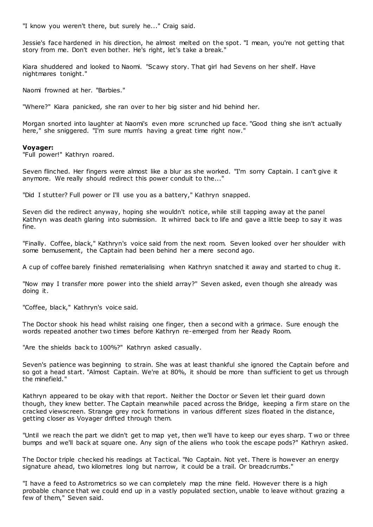"I know you weren't there, but surely he..." Craig said.

Jessie's face hardened in his direction, he almost melted on the spot. "I mean, you're not getting that story from me. Don't even bother. He's right, let's take a break."

Kiara shuddered and looked to Naomi. "Scawy story. That girl had Sevens on her shelf. Have nightmares tonight."

Naomi frowned at her. "Barbies."

"Where?" Kiara panicked, she ran over to her big sister and hid behind her.

Morgan snorted into laughter at Naomi's even more scrunched up face. "Good thing she isn't actually here," she sniggered. "I'm sure mum's having a great time right now."

#### **Voyager:**

"Full power!" Kathryn roared.

Seven flinched. Her fingers were almost like a blur as she worked. "I'm sorry Captain. I can't give it anymore. We really should redirect this power conduit to the..."

"Did I stutter? Full power or I'll use you as a battery," Kathryn snapped.

Seven did the redirect anyway, hoping she wouldn't notice, while still tapping away at the panel Kathryn was death glaring into submission. It whirred back to life and gave a little beep to say it was fine.

"Finally. Coffee, black," Kathryn's voice said from the next room. Seven looked over her shoulder with some bemusement, the Captain had been behind her a mere second ago.

A cup of coffee barely finished rematerialising when Kathryn snatched it away and started to chug it.

"Now may I transfer more power into the shield array?" Seven asked, even though she already was doing it.

"Coffee, black," Kathryn's voice said.

The Doctor shook his head whilst raising one finger, then a second with a grimace. Sure enough the words repeated another two times before Kathryn re-emerged from her Ready Room.

"Are the shields back to 100%?" Kathryn asked casually.

Seven's patience was beginning to strain. She was at least thankful she ignored the Captain before and so got a head start. "Almost Captain. We're at 80%, it should be more than sufficient to get us through the minefield."

Kathryn appeared to be okay with that report. Neither the Doctor or Seven let their guard down though, they knew better. The Captain meanwhile paced across the Bridge, keeping a firm stare on the cracked viewscreen. Strange grey rock formations in various different sizes floated in the distance, getting closer as Voyager drifted through them.

"Until we reach the part we didn't get to map yet, then we'll have to keep our eyes sharp. T wo or three bumps and we'll back at square one. Any sign of the aliens who took the escape pods?" Kathryn asked.

The Doctor triple checked his readings at Tactical. "No Captain. Not yet. There is however an energy signature ahead, two kilometres long but narrow, it could be a trail. Or breadcrumbs."

"I have a feed to Astrometrics so we can completely map the mine field. However there is a high probable chance that we could end up in a vastly populated section, unable to leave without grazing a few of them," Seven said.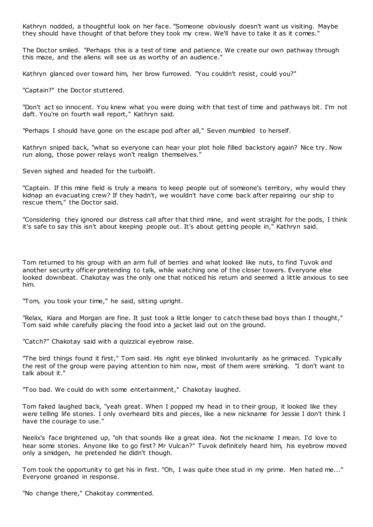Kathryn nodded, a thoughtful look on her face. "Someone obviously doesn't want us visiting. Maybe they should have thought of that before they took my crew. We'll have to take it as it comes."

The Doctor smiled. "Perhaps this is a test of time and patience. We create our own pathway through this maze, and the aliens will see us as worthy of an audience."

Kathryn glanced over toward him, her brow furrowed. "You couldn't resist, could you?"

"Captain?" the Doctor stuttered.

"Don't act so innocent. You knew what you were doing with that test of time and pathways bit. I'm not daft. You're on fourth wall report," Kathryn said.

"Perhaps I should have gone on the escape pod after all," Seven mumbled to herself.

Kathryn sniped back, "what so everyone can hear your plot hole filled backstory again? Nice try. Now run along, those power relays won't realign themselves."

Seven sighed and headed for the turbolift.

"Captain. If this mine field is truly a means to keep people out of someone's territory, why would they kidnap an evacuating crew? If they hadn't, we wouldn't have come back after repairing our ship to rescue them," the Doctor said.

"Considering they ignored our distress call after that third mine, and went straight for the pods, I think it's safe to say this isn't about keeping people out. It's about getting people in," Kathryn said.

Tom returned to his group with an arm full of berries and what looked like nuts, to find Tuvok and another security officer pretending to talk, while watching one of the closer towers. Everyone else looked downbeat. Chakotay was the only one that noticed his return and seemed a little anxious to see him.

"Tom, you took your time," he said, sitting upright.

"Relax, Kiara and Morgan are fine. It just took a little longer to catch these bad boys than I thought," Tom said while carefully placing the food into a jacket laid out on the ground.

"Catch?" Chakotay said with a quizzical eyebrow raise.

"The bird things found it first," Tom said. His right eye blinked involuntarily as he grimaced. Typically the rest of the group were paying attention to him now, most of them were smirking. "I don't want to talk about it."

"Too bad. We could do with some entertainment," Chakotay laughed.

Tom faked laughed back, "yeah great. When I popped my head in to their group, it looked like they were telling life stories. I only overheard bits and pieces, like a new nickname for Jessie I don't think I have the courage to use."

Neelix's face brightened up, "oh that sounds like a great idea. Not the nickname I mean. I'd love to hear some stories. Anyone like to go first? Mr Vulcan?" Tuvok definitely heard him, his eyebrow moved only a smidgen, he pretended he didn't though.

Tom took the opportunity to get his in first. "Oh, I was quite thee stud in my prime. Men hated me..." Everyone groaned in response.

"No change there," Chakotay commented.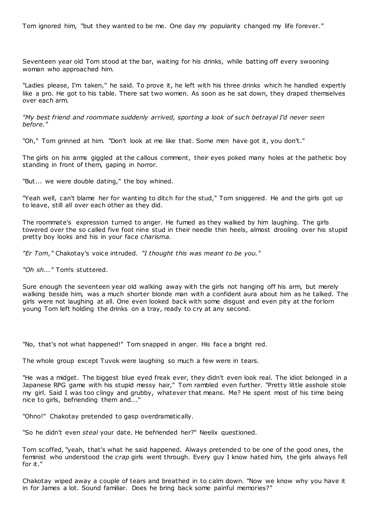Tom ignored him, "but they wanted to be me. One day my popularity changed my life forever. "

Seventeen year old Tom stood at the bar, waiting for his drinks, while batting off every swooning woman who approached him.

"Ladies please, I'm taken," he said. To prove it, he left with his three drinks which he handled expertly like a pro. He got to his table. There sat two women. As soon as he sat down, they draped themselves over each arm.

*"My best friend and roommate suddenly arrived, sporting a look of such betrayal I'd never seen before."*

"Oh," Tom grinned at him. "Don't look at me like that. Some men have got it, you don't."

The girls on his arms giggled at the callous comment, their eyes poked many holes at the pathetic boy standing in front of them, gaping in horror.

"But... we were double dating," the boy whined.

"Yeah well, can't blame her for wanting to ditch for the stud," Tom sniggered. He and the girls got up to leave, still all over each other as they did.

The roommate's expression turned to anger. He fumed as they walked by him laughing. The girls towered over the so called five foot nine stud in their needle thin heels, almost drooling over his stupid pretty boy looks and his in your face *charisma.*

*"Er Tom,"* Chakotay's voice intruded. *"I thought this was meant to be you."*

*"Oh sh..."* Tom's stuttered.

Sure enough the seventeen year old walking away with the girls not hanging off his arm, but merely walking beside him, was a much shorter blonde man with a confident aura about him as he talked. The girls were not laughing at all. One even looked back with some disgust and even pity at the forlorn young Tom left holding the drinks on a tray, ready to cry at any second.

"No, that's not what happened!" Tom snapped in anger. His face a bright red.

The whole group except Tuvok were laughing so much a few were in tears.

"He was a midget. The biggest blue eyed freak ever, they didn't even look real. The idiot belonged in a Japanese RPG game with his stupid messy hair," Tom rambled even further. "Pretty little asshole stole my girl. Said I was too clingy and grubby, whatever that means. Me? He spent most of his time being nice to girls, befriending them and..."

"Ohno!" Chakotay pretended to gasp overdramatically.

"So he didn't even *steal* your date. He befriended her?" Neelix questioned.

Tom scoffed, "yeah, that's what he said happened. Always pretended to be one of the good ones, the feminist who understood the *crap* girls went through. Every guy I know hated him, the girls always fell for it."

Chakotay wiped away a couple of tears and breathed in to calm down. "Now we know why you have it in for James a lot. Sound familiar. Does he bring back some painful memories?"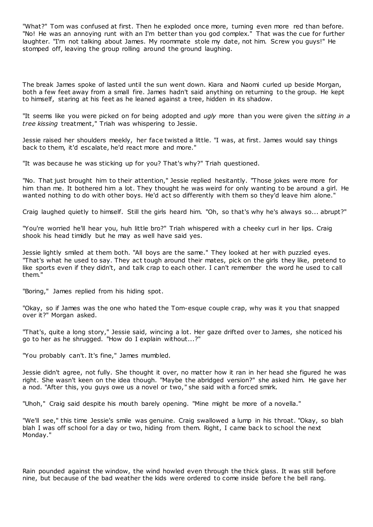"What?" Tom was confused at first. Then he exploded once more, turning even more red than before. "No! He was an annoying runt with an I'm better than you god complex." That was the cue for further laughter. "I'm not talking about James. My roommate stole my date, not him. Screw you guys!" He stomped off, leaving the group rolling around the ground laughing.

The break James spoke of lasted until the sun went down. Kiara and Naomi curled up beside Morgan, both a few feet away from a small fire. James hadn't said anything on returning to the group. He kept to himself, staring at his feet as he leaned against a tree, hidden in its shadow.

"It seems like you were picked on for being adopted and *ugly* more than you were given the *sitting in a tree kissing* treatment," Triah was whispering to Jessie.

Jessie raised her shoulders meekly, her face twisted a little. "I was, at first. James would say things back to them, it'd escalate, he'd react more and more."

"It was because he was sticking up for you? That's why?" Triah questioned.

"No. That just brought him to their attention," Jessie replied hesitantly. "Those jokes were more for him than me. It bothered him a lot. They thought he was weird for only wanting to be around a girl. He wanted nothing to do with other boys. He'd act so differently with them so they'd leave him alone."

Craig laughed quietly to himself. Still the girls heard him. "Oh, so that's why he's always so... abrupt?"

"You're worried he'll hear you, huh little bro?" Triah whispered with a cheeky curl in her lips. Craig shook his head timidly but he may as well have said yes.

Jessie lightly smiled at them both. "All boys are the same." They looked at her with puzzled eyes. "That's what he used to say. They act tough around their mates, pick on the girls they like, pretend to like sports even if they didn't, and talk crap to each other. I can't remember the word he used to call them."

"Boring," James replied from his hiding spot.

"Okay, so if James was the one who hated the Tom-esque couple crap, why was it you that snapped over it?" Morgan asked.

"That's, quite a long story," Jessie said, wincing a lot. Her gaze drifted over to James, she noticed his go to her as he shrugged. "How do I explain without...?"

"You probably can't. It's fine," James mumbled.

Jessie didn't agree, not fully. She thought it over, no matter how it ran in her head she figured he was right. She wasn't keen on the idea though. "Maybe the abridged version?" she asked him. He gave her a nod. "After this, you guys owe us a novel or two," she said with a forced smirk.

"Uhoh," Craig said despite his mouth barely opening. "Mine might be more of a novella."

"We'll see," this time Jessie's smile was genuine. Craig swallowed a lump in his throat. "Okay, so blah blah I was off school for a day or two, hiding from them. Right, I came back to school the next Monday."

Rain pounded against the window, the wind howled even through the thick glass. It was still before nine, but because of the bad weather the kids were ordered to come inside before t he bell rang.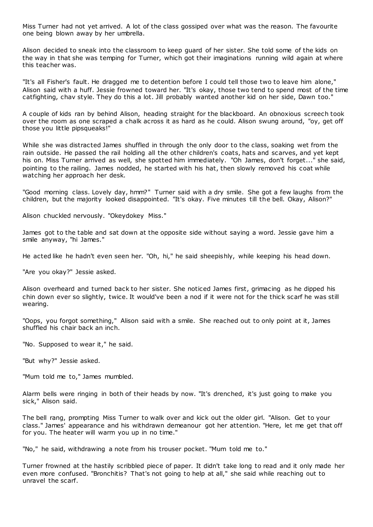Miss Turner had not yet arrived. A lot of the class gossiped over what was the reason. The favourite one being blown away by her umbrella.

Alison decided to sneak into the classroom to keep guard of her sister. She told some of the kids on the way in that she was temping for Turner, which got their imaginations running wild again at where this teacher was.

"It's all Fisher's fault. He dragged me to detention before I could tell those two to leave him alone," Alison said with a huff. Jessie frowned toward her. "It's okay, those two tend to spend most of the time catfighting, chav style. They do this a lot. Jill probably wanted another kid on her side, Dawn too."

A couple of kids ran by behind Alison, heading straight for the blackboard. An obnoxious screech took over the room as one scraped a chalk across it as hard as he could. Alison swung around, "oy, get off those you little pipsqueaks!"

While she was distracted James shuffled in through the only door to the class, soaking wet from the rain outside. He passed the rail holding all the other children's coats, hats and scarves, and yet kept his on. Miss Turner arrived as well, she spotted him immediately. "Oh James, don't forget..." she said, pointing to the railing. James nodded, he started with his hat, then slowly removed his coat while watching her approach her desk.

"Good morning class. Lovely day, hmm?" Turner said with a dry smile. She got a few laughs from the children, but the majority looked disappointed. "It's okay. Five minutes till the bell. Okay, Alison?"

Alison chuckled nervously. "Okeydokey Miss."

James got to the table and sat down at the opposite side without saying a word. Jessie gave him a smile anyway, "hi James."

He acted like he hadn't even seen her. "Oh, hi," he said sheepishly, while keeping his head down.

"Are you okay?" Jessie asked.

Alison overheard and turned back to her sister. She noticed James first, grimacing as he dipped his chin down ever so slightly, twice. It would've been a nod if it were not for the thick scarf he was still wearing.

"Oops, you forgot something," Alison said with a smile. She reached out to only point at it, James shuffled his chair back an inch.

"No. Supposed to wear it," he said.

"But why?" Jessie asked.

"Mum told me to," James mumbled.

Alarm bells were ringing in both of their heads by now. "It's drenched, it's just going to make you sick," Alison said.

The bell rang, prompting Miss Turner to walk over and kick out the older girl. "Alison. Get to your class." James' appearance and his withdrawn demeanour got her attention. "Here, let me get that off for you. The heater will warm you up in no time."

"No," he said, withdrawing a note from his trouser pocket. "Mum told me to."

Turner frowned at the hastily scribbled piece of paper. It didn't take long to read and it only made her even more confused. "Bronchitis? That's not going to help at all," she said while reaching out to unravel the scarf.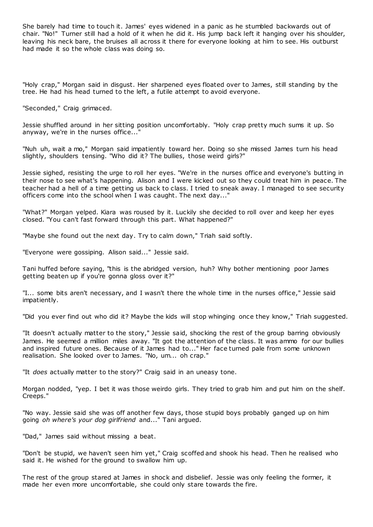She barely had time to touch it. James' eyes widened in a panic as he stumbled backwards out of chair. "No!" Turner still had a hold of it when he did it. His jump back left it hanging over his shoulder, leaving his neck bare, the bruises all across it there for everyone looking at him to see. His outburst had made it so the whole class was doing so.

"Holy crap," Morgan said in disgust. Her sharpened eyes floated over to James, still standing by the tree. He had his head turned to the left, a futile attempt to avoid everyone.

"Seconded," Craig grimaced.

Jessie shuffled around in her sitting position uncomfortably. "Holy crap pretty much sums it up. So anyway, we're in the nurses office...'

"Nuh uh, wait a mo," Morgan said impatiently toward her. Doing so she missed James turn his head slightly, shoulders tensing. "Who did it? The bullies, those weird girls?"

Jessie sighed, resisting the urge to roll her eyes. "We're in the nurses office and everyone's butting in their nose to see what's happening. Alison and I were kicked out so they could treat him in peace. The teacher had a hell of a time getting us back to class. I tried to sneak away. I managed to see security officers come into the school when I was caught. The next day..."

"What?" Morgan yelped. Kiara was roused by it. Luckily she decided to roll over and keep her eyes closed. "You can't fast forward through this part. What happened?"

"Maybe she found out the next day. Try to calm down," Triah said softly.

"Everyone were gossiping. Alison said..." Jessie said.

Tani huffed before saying, "this is the abridged version, huh? Why bother mentioning poor James getting beaten up if you're gonna gloss over it?"

"I... some bits aren't necessary, and I wasn't there the whole time in the nurses office," Jessie said impatiently.

"Did you ever find out who did it? Maybe the kids will stop whinging once they know," Triah suggested.

"It doesn't actually matter to the story," Jessie said, shocking the rest of the group barring obviously James. He seemed a million miles away. "It got the attention of the class. It was ammo for our bullies and inspired future ones. Because of it James had to..." Her face turned pale from some unknown realisation. She looked over to James. "No, um... oh crap."

"It *does* actually matter to the story?" Craig said in an uneasy tone.

Morgan nodded, "yep. I bet it was those weirdo girls. They tried to grab him and put him on the shelf. Creeps."

"No way. Jessie said she was off another few days, those stupid boys probably ganged up on him going *oh where's your dog girlfriend* and..." Tani argued.

"Dad," James said without missing a beat.

"Don't be stupid, we haven't seen him yet," Craig scoffed and shook his head. Then he realised who said it. He wished for the ground to swallow him up.

The rest of the group stared at James in shock and disbelief. Jessie was only feeling the former, it made her even more uncomfortable, she could only stare towards the fire.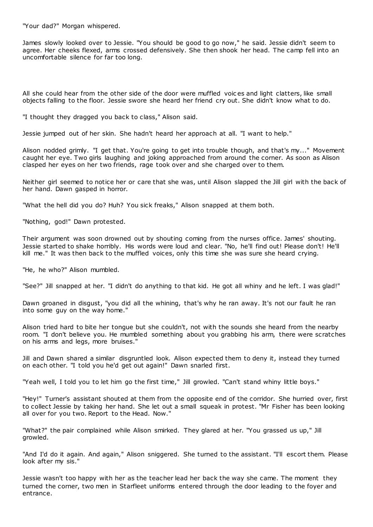"Your dad?" Morgan whispered.

James slowly looked over to Jessie. "You should be good to go now," he said. Jessie didn't seem to agree. Her cheeks flexed, arms crossed defensively. She then shook her head. The camp fell into an uncomfortable silence for far too long.

All she could hear from the other side of the door were muffled voic es and light clatters, like small objects falling to the floor. Jessie swore she heard her friend cry out. She didn't know what to do.

"I thought they dragged you back to class," Alison said.

Jessie jumped out of her skin. She hadn't heard her approach at all. "I want to help."

Alison nodded grimly. "I get that. You're going to get into trouble though, and that's my..." Movement caught her eye. Two girls laughing and joking approached from around the corner. As soon as Alison clasped her eyes on her two friends, rage took over and she charged over to them.

Neither girl seemed to notice her or care that she was, until Alison slapped the Jill girl with the back of her hand. Dawn gasped in horror.

"What the hell did you do? Huh? You sick freaks," Alison snapped at them both.

"Nothing, god!" Dawn protested.

Their argument was soon drowned out by shouting coming from the nurses office. James' shouting. Jessie started to shake horribly. His words were loud and clear. "No, he'll find out! Please don't! He'll kill me." It was then back to the muffled voices, only this time she was sure she heard crying.

"He, he who?" Alison mumbled.

"See?" Jill snapped at her. "I didn't do anything to that kid. He got all whiny and he left. I was glad!"

Dawn groaned in disgust, "you did all the whining, that's why he ran away. It's not our fault he ran into some guy on the way home."

Alison tried hard to bite her tongue but she couldn't, not with the sounds she heard from the nearby room. "I don't believe you. He mumbled something about you grabbing his arm, there were scratches on his arms and legs, more bruises."

Jill and Dawn shared a similar disgruntled look. Alison expected them to deny it, instead they turned on each other. "I told you he'd get out again!" Dawn snarled first.

"Yeah well, I told you to let him go the first time," Jill growled. "Can't stand whiny little boys."

"Hey!" Turner's assistant shouted at them from the opposite end of the corridor. She hurried over, first to collect Jessie by taking her hand. She let out a small squeak in protest. "Mr Fisher has been looking all over for you two. Report to the Head. Now."

"What?" the pair complained while Alison smirked. They glared at her. "You grassed us up," Jill growled.

"And I'd do it again. And again," Alison sniggered. She turned to the assistant. "I'll escort them. Please look after my sis."

Jessie wasn't too happy with her as the teacher lead her back the way she came. The moment they turned the corner, two men in Starfleet uniforms entered through the door leading to the foyer and entrance.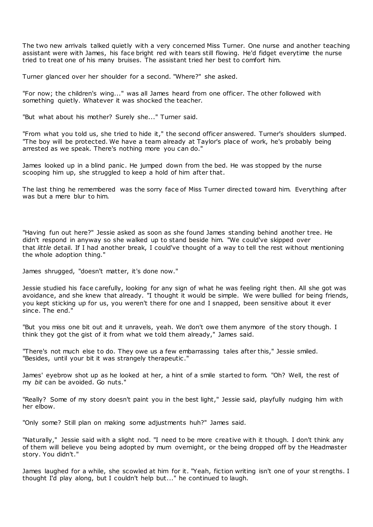The two new arrivals talked quietly with a very concerned Miss Turner. One nurse and another teaching assistant were with James, his face bright red with tears still flowing. He'd fidget everytime the nurse tried to treat one of his many bruises. The assistant tried her best to comfort him.

Turner glanced over her shoulder for a second. "Where?" she asked.

"For now; the children's wing..." was all James heard from one officer. The other followed with something quietly. Whatever it was shocked the teacher.

"But what about his mother? Surely she..." Turner said.

"From what you told us, she tried to hide it," the second officer answered. Turner's shoulders slumped. "The boy will be protected. We have a team already at Taylor's place of work, he's probably being arrested as we speak. There's nothing more you can do."

James looked up in a blind panic . He jumped down from the bed. He was stopped by the nurse scooping him up, she struggled to keep a hold of him after that.

The last thing he remembered was the sorry face of Miss Turner directed toward him. Everything after was but a mere blur to him.

"Having fun out here?" Jessie asked as soon as she found James standing behind another tree. He didn't respond in anyway so she walked up to stand beside him. "We could've skipped over that *little* detail. If I had another break, I could've thought of a way to tell the rest without mentioning the whole adoption thing."

James shrugged, "doesn't matter, it's done now."

Jessie studied his face carefully, looking for any sign of what he was feeling right then. All she got was avoidance, and she knew that already. "I thought it would be simple. We were bullied for being friends, you kept sticking up for us, you weren't there for one and I snapped, been sensitive about it ever since. The end."

"But you miss one bit out and it unravels, yeah. We don't owe them anymore of the story though. I think they got the gist of it from what we told them already," James said.

"There's not much else to do. They owe us a few embarrassing tales after this," Jessie smiled. "Besides, until your bit it was strangely therapeutic ."

James' eyebrow shot up as he looked at her, a hint of a smile started to form. "Oh? Well, the rest of my *bit* can be avoided. Go nuts."

"Really? Some of my story doesn't paint you in the best light," Jessie said, playfully nudging him with her elbow.

"Only some? Still plan on making some adjustments huh?" James said.

"Naturally," Jessie said with a slight nod. "I need to be more creative with it though. I don't think any of them will believe you being adopted by mum overnight, or the being dropped off by the Headmaster story. You didn't."

James laughed for a while, she scowled at him for it. "Yeah, fiction writing isn't one of your st rengths. I thought I'd play along, but I couldn't help but..." he continued to laugh.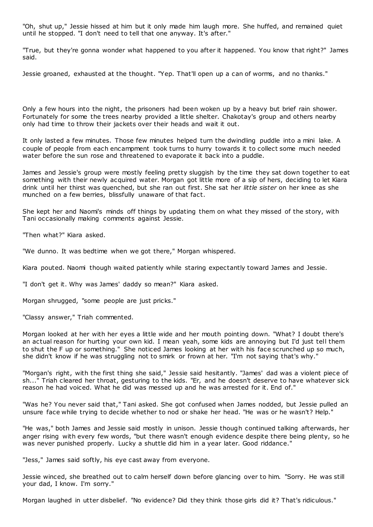"Oh, shut up," Jessie hissed at him but it only made him laugh more. She huffed, and remained quiet until he stopped. "I don't need to tell that one anyway. It's after."

"True, but they're gonna wonder what happened to you after it happened. You know that right?" James said.

Jessie groaned, exhausted at the thought. "Yep. That'll open up a can of worms, and no thanks."

Only a few hours into the night, the prisoners had been woken up by a heavy but brief rain shower. Fortunately for some the trees nearby provided a little shelter. Chakotay's group and others nearby only had time to throw their jackets over their heads and wait it out.

It only lasted a few minutes. Those few minutes helped turn the dwindling puddle into a mini lake. A couple of people from each encampment took turns to hurry towards it to collect some much needed water before the sun rose and threatened to evaporate it back into a puddle.

James and Jessie's group were mostly feeling pretty sluggish by the time they sat down together to eat something with their newly acquired water. Morgan got little more of a sip of hers, deciding to let Kiara drink until her thirst was quenched, but she ran out first. She sat her *little sister* on her knee as she munched on a few berries, blissfully unaware of that fact.

She kept her and Naomi's minds off things by updating them on what they missed of the story, with Tani occasionally making comments against Jessie.

"Then what?" Kiara asked.

"We dunno. It was bedtime when we got there," Morgan whispered.

Kiara pouted. Naomi though waited patiently while staring expectantly toward James and Jessie.

"I don't get it. Why was James' daddy so mean?" Kiara asked.

Morgan shrugged, "some people are just pricks."

"Classy answer," Triah commented.

Morgan looked at her with her eyes a little wide and her mouth pointing down. "What? I doubt there's an actual reason for hurting your own kid. I mean yeah, some kids are annoying but I'd just tell them to shut the F up or something." She noticed James looking at her with his face scrunched up so much, she didn't know if he was struggling not to smirk or frown at her. "I'm not saying that's why."

"Morgan's right, with the first thing she said," Jessie said hesitantly. "James' dad was a violent piece of sh..." Triah cleared her throat, gesturing to the kids. "Er, and he doesn't deserve to have whatever sick reason he had voiced. What he did was messed up and he was arrested for it. End of."

"Was he? You never said that," Tani asked. She got confused when James nodded, but Jessie pulled an unsure face while trying to decide whether to nod or shake her head. "He was or he wasn't? Help."

"He was," both James and Jessie said mostly in unison. Jessie though continued talking afterwards, her anger rising with every few words, "but there wasn't enough evidence despite there being plenty, so he was never punished properly. Lucky a shuttle did him in a year later. Good riddance."

"Jess," James said softly, his eye cast away from everyone.

Jessie winced, she breathed out to calm herself down before glancing over to him. "Sorry. He was still your dad, I know. I'm sorry."

Morgan laughed in utter disbelief. "No evidence? Did they think those girls did it? That's ridiculous."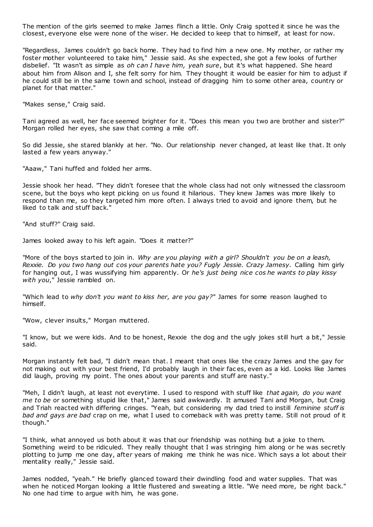The mention of the girls seemed to make James flinch a little. Only Craig spotted it since he was the closest, everyone else were none of the wiser. He decided to keep that to himself, at least for now.

"Regardless, James couldn't go back home. They had to find him a new one. My mother, or rather my foster mother volunteered to take him," Jessie said. As she expected, she got a few looks of further disbelief. "It wasn't as simple as *oh can I have him, yeah sure*, but it's what happened. She heard about him from Alison and I, she felt sorry for him. They thought it would be easier for him to adjust if he could still be in the same town and school, instead of dragging him to some other area, country or planet for that matter."

"Makes sense," Craig said.

Tani agreed as well, her face seemed brighter for it. "Does this mean you two are brother and sister?" Morgan rolled her eyes, she saw that coming a mile off.

So did Jessie, she stared blankly at her. "No. Our relationship never changed, at least like that. It only lasted a few years anyway."

"Aaaw," Tani huffed and folded her arms.

Jessie shook her head. "They didn't foresee that the whole class had not only witnessed the classroom scene, but the boys who kept picking on us found it hilarious. They knew James was more likely to respond than me, so they targeted him more often. I always tried to avoid and ignore them, but he liked to talk and stuff back."

"And stuff?" Craig said.

James looked away to his left again. "Does it matter?"

"More of the boys started to join in. *Why are you playing with a girl? Shouldn't you be on a leash, Rexxie. Do you two hang out cos your parents hate you? Fugly Jessie. Crazy Jamesy.* Calling him girly for hanging out, I was wussifying him apparently. Or *he's just being nice cos he wants to play kissy with you*," Jessie rambled on.

"Which lead to *why don't you want to kiss her, are you gay?*" James for some reason laughed to himself.

"Wow, clever insults," Morgan muttered.

"I know, but we were kids. And to be honest, Rexxie the dog and the ugly jokes still hurt a bit," Jessie said.

Morgan instantly felt bad, "I didn't mean that. I meant that ones like the crazy James and the gay for not making out with your best friend, I'd probably laugh in their fac es, even as a kid. Looks like James did laugh, proving my point. The ones about your parents and stuff are nasty."

"Meh, I didn't laugh, at least not everytime. I used to respond with stuff like *that again, do you want me to be* or something stupid like that," James said awkwardly. It amused Tani and Morgan, but Craig and Triah reacted with differing cringes. "Yeah, but considering my dad tried to instill *feminine stuff is bad and gays are bad* crap on me, what I used to comeback with was pretty tame. Still not proud of it though."

"I think, what annoyed us both about it was that our friendship was nothing but a joke to them. Something weird to be ridiculed. They really thought that I was stringing him along or he was secretly plotting to jump me one day, after years of making me think he was nice. Which says a lot about their mentality really," Jessie said.

James nodded, "yeah." He briefly glanced toward their dwindling food and water supplies. That was when he noticed Morgan looking a little flustered and sweating a little. "We need more, be right back." No one had time to argue with him, he was gone.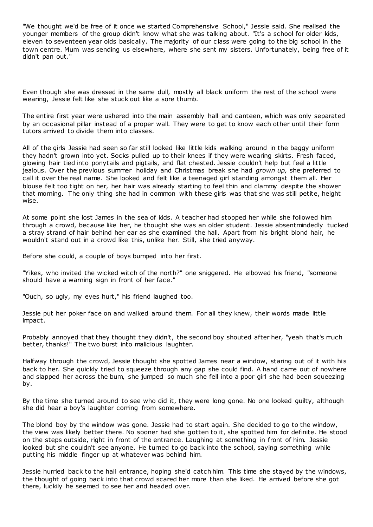"We thought we'd be free of it once we started Comprehensive School," Jessie said. She realised the younger members of the group didn't know what she was talking about. "It's a school for older kids, eleven to seventeen year olds basically. The majority of our c lass were going to the big school in the town centre. Mum was sending us elsewhere, where she sent my sisters. Unfortunately, being free of it didn't pan out."

Even though she was dressed in the same dull, mostly all black uniform the rest of the school were wearing, Jessie felt like she stuck out like a sore thumb.

The entire first year were ushered into the main assembly hall and canteen, which was only separated by an occasional pillar instead of a proper wall. They were to get to know each other until their form tutors arrived to divide them into classes.

All of the girls Jessie had seen so far still looked like little kids walking around in the baggy uniform they hadn't grown into yet. Socks pulled up to their knees if they were wearing skirts. Fresh faced, glowing hair tied into ponytails and pigtails, and flat chested. Jessie couldn't help but feel a little jealous. Over the previous summer holiday and Christmas break she had *grown up,* she preferred to call it over the real name. She looked and felt like a teenaged girl standing amongst them all. Her blouse felt too tight on her, her hair was already starting to feel thin and clammy despite the shower that morning. The only thing she had in common with these girls was that she was still petite, height wise.

At some point she lost James in the sea of kids. A teacher had stopped her while she followed him through a crowd, because like her, he thought she was an older student. Jessie absentmindedly tucked a stray strand of hair behind her ear as she examined the hall. Apart from his bright blond hair, he wouldn't stand out in a crowd like this, unlike her. Still, she tried anyway.

Before she could, a couple of boys bumped into her first.

"Yikes, who invited the wicked witch of the north?" one sniggered. He elbowed his friend, "someone should have a warning sign in front of her face."

"Ouch, so ugly, my eyes hurt," his friend laughed too.

Jessie put her poker face on and walked around them. For all they knew, their words made little impact.

Probably annoyed that they thought they didn't, the second boy shouted after her, "yeah that's much better, thanks!" The two burst into malicious laughter.

Halfway through the crowd, Jessie thought she spotted James near a window, staring out of it with his back to her. She quickly tried to squeeze through any gap she could find. A hand came out of nowhere and slapped her across the bum, she jumped so much she fell into a poor girl she had been squeezing by.

By the time she turned around to see who did it, they were long gone. No one looked guilty, although she did hear a boy's laughter coming from somewhere.

The blond boy by the window was gone. Jessie had to start again. She decided to go to the window, the view was likely better there. No sooner had she gotten to it, she spotted him for definite. He stood on the steps outside, right in front of the entrance. Laughing at something in front of him. Jessie looked but she couldn't see anyone. He turned to go back into the school, saying something while putting his middle finger up at whatever was behind him.

Jessie hurried back to the hall entrance, hoping she'd catch him. This time she stayed by the windows, the thought of going back into that crowd scared her more than she liked. He arrived before she got there, luckily he seemed to see her and headed over.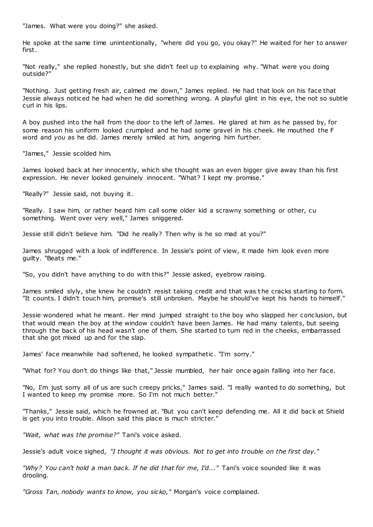"James. What were you doing?" she asked.

He spoke at the same time unintentionally, "where did you go, you okay?" He waited for her to answer first.

"Not really," she replied honestly, but she didn't feel up to explaining why. "What were you doing outside?"

"Nothing. Just getting fresh air, calmed me down," James replied. He had that look on his face that Jessie always noticed he had when he did something wrong. A playful glint in his eye, the not so subtle curl in his lips.

A boy pushed into the hall from the door to the left of James. He glared at him as he passed by, for some reason his uniform looked crumpled and he had some gravel in his cheek. He mouthed the F word and *you* as he did. James merely smiled at him, angering him further.

"James," Jessie scolded him.

James looked back at her innocently, which she thought was an even bigger give away than his first expression. He never looked genuinely innocent. "What? I kept my promise."

"Really?" Jessie said, not buying it.

"Really. I saw him, or rather heard him call some older kid a scrawny something or other, cu something. Went over very well," James sniggered.

Jessie still didn't believe him. "Did he really? Then why is he so mad at you?"

James shrugged with a look of indifference. In Jessie's point of view, it made him look even more guilty. "Beats me."

"So, you didn't have anything to do with this?" Jessie asked, eyebrow raising.

James smiled slyly, she knew he couldn't resist taking credit and that was t he cracks starting to form. "It counts. I didn't touch him, promise's still unbroken. Maybe he should've kept his hands to himself."

Jessie wondered what he meant. Her mind jumped straight to the boy who slapped her conclusion, but that would mean the boy at the window couldn't have been James. He had many talents, but seeing through the back of his head wasn't one of them. She started to turn red in the cheeks, embarrassed that she got mixed up and for the slap.

James' face meanwhile had softened, he looked sympathetic . "I'm sorry."

"What for? You don't do things like that," Jessie mumbled, her hair once again falling into her face.

"No, I'm just sorry all of us are such creepy pricks," James said. "I really wanted to do something, but I wanted to keep my promise more. So I'm not much better."

"Thanks," Jessie said, which he frowned at. "But you can't keep defending me. All it did back at Shield is get you into trouble. Alison said this place is much stricter."

*"Wait, what was the promise?"* Tani's voice asked.

Jessie's adult voice sighed, *"I thought it was obvious. Not to get into trouble on the first day."*

*"Why? You can't hold a man back. If he did that for me, I'd..."* Tani's voice sounded like it was drooling.

*"Gross Tan, nobody wants to know, you sicko,"* Morgan's voice complained.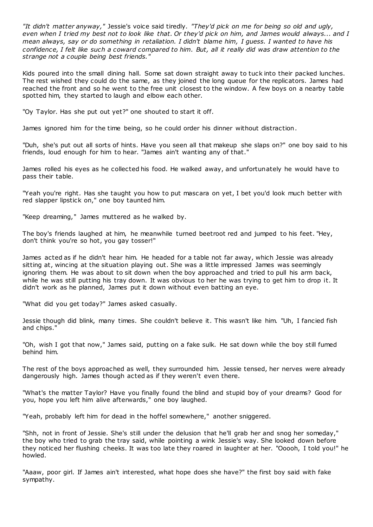*"It didn't matter anyway,"* Jessie's voice said tiredly. *"They'd pick on me for being so old and ugly, even when I tried my best not to look like that. Or they'd pick on him, and James would always... and I mean always, say or do something in retaliation. I didn't blame him, I guess. I wanted to have his confidence, I felt like such a coward compared to him. But, all it really did was draw attention to the strange not a couple being best friends."*

Kids poured into the small dining hall. Some sat down straight away to tuck into their packed lunches. The rest wished they could do the same, as they joined the long queue for the replicators. James had reached the front and so he went to the free unit closest to the window. A few boys on a nearby table spotted him, they started to laugh and elbow each other.

"Oy Taylor. Has she put out yet?" one shouted to start it off.

James ignored him for the time being, so he could order his dinner without distraction.

"Duh, she's put out all sorts of hints. Have you seen all that makeup she slaps on?" one boy said to his friends, loud enough for him to hear. "James ain't wanting any of that."

James rolled his eyes as he collected his food. He walked away, and unfortunately he would have to pass their table.

"Yeah you're right. Has she taught you how to put mascara on yet, I bet you'd look much better with red slapper lipstick on," one boy taunted him.

"Keep dreaming," James muttered as he walked by.

The boy's friends laughed at him, he meanwhile turned beetroot red and jumped to his feet. "Hey, don't think you're so hot, you gay tosser!"

James acted as if he didn't hear him. He headed for a table not far away, which Jessie was already sitting at, wincing at the situation playing out. She was a little impressed James was seemingly ignoring them. He was about to sit down when the boy approached and tried to pull his arm back, while he was still putting his tray down. It was obvious to her he was trying to get him to drop it. It didn't work as he planned, James put it down without even batting an eye.

"What did you get today?" James asked casually.

Jessie though did blink, many times. She couldn't believe it. This wasn't like him. "Uh, I fancied fish and chips."

"Oh, wish I got that now," James said, putting on a fake sulk. He sat down while the boy still fumed behind him.

The rest of the boys approached as well, they surrounded him. Jessie tensed, her nerves were already dangerously high. James though acted as if they weren't even there.

"What's the matter Taylor? Have you finally found the blind and stupid boy of your dreams? Good for you, hope you left him alive afterwards," one boy laughed.

"Yeah, probably left him for dead in the hoffel somewhere," another sniggered.

"Shh, not in front of Jessie. She's still under the delusion that he'll grab her and snog her someday," the boy who tried to grab the tray said, while pointing a wink Jessie's way. She looked down before they noticed her flushing cheeks. It was too late they roared in laughter at her. "Ooooh, I told you!" he howled.

"Aaaw, poor girl. If James ain't interested, what hope does she have?" the first boy said with fake sympathy.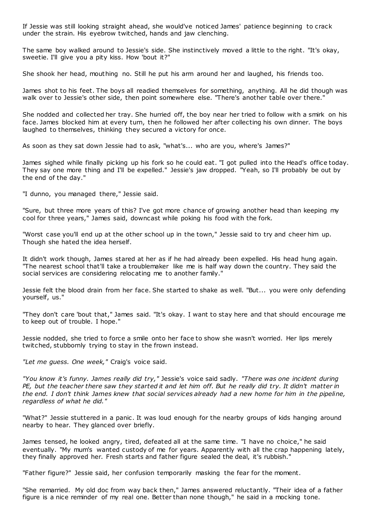If Jessie was still looking straight ahead, she would've noticed James' patience beginning to crack under the strain. His eyebrow twitched, hands and jaw clenching.

The same boy walked around to Jessie's side. She instinctively moved a little to the right. "It's okay, sweetie. I'll give you a pity kiss. How 'bout it?"

She shook her head, mouthing no. Still he put his arm around her and laughed, his friends too.

James shot to his feet. The boys all readied themselves for something, anything. All he did though was walk over to Jessie's other side, then point somewhere else. "There's another table over there."

She nodded and collected her tray. She hurried off, the boy near her tried to follow with a smirk on his face. James blocked him at every turn, then he followed her after collecting his own dinner. The boys laughed to themselves, thinking they secured a victory for once.

As soon as they sat down Jessie had to ask, "what's... who are you, where's James?"

James sighed while finally picking up his fork so he could eat. "I got pulled into the Head's office today. They say one more thing and I'll be expelled." Jessie's jaw dropped. "Yeah, so I'll probably be out by the end of the day."

"I dunno, you managed there," Jessie said.

"Sure, but three more years of this? I've got more chance of growing another head than keeping my cool for three years," James said, downcast while poking his food with the fork.

"Worst case you'll end up at the other school up in the town," Jessie said to try and cheer him up. Though she hated the idea herself.

It didn't work though, James stared at her as if he had already been expelled. His head hung again. "The nearest school that'll take a troublemaker like me is half way down the country. They said the social services are considering relocating me to another family."

Jessie felt the blood drain from her face. She started to shake as well. "But... you were only defending yourself, us."

"They don't care 'bout that," James said. "It's okay. I want to stay here and that should encourage me to keep out of trouble. I hope."

Jessie nodded, she tried to force a smile onto her face to show she wasn't worried. Her lips merely twitched, stubbornly trying to stay in the frown instead.

*"Let me guess. One week,"* Craig's voice said.

*"You know it's funny. James really did try,"* Jessie's voice said sadly. *"There was one incident during PE, but the teacher there saw they started it and let him off. But he really did try. It didn't matter in the end. I don't think James knew that social services already had a new home for him in the pipeline, regardless of what he did."*

"What?" Jessie stuttered in a panic. It was loud enough for the nearby groups of kids hanging around nearby to hear. They glanced over briefly.

James tensed, he looked angry, tired, defeated all at the same time. "I have no choice," he said eventually. "My mum's wanted custody of me for years. Apparently with all the crap happening lately, they finally approved her. Fresh starts and father figure sealed the deal, it's rubbish."

"Father figure?" Jessie said, her confusion temporarily masking the fear for the moment.

"She remarried. My old doc from way back then," James answered reluctantly. "Their idea of a father figure is a nice reminder of my real one. Better than none though," he said in a mocking tone.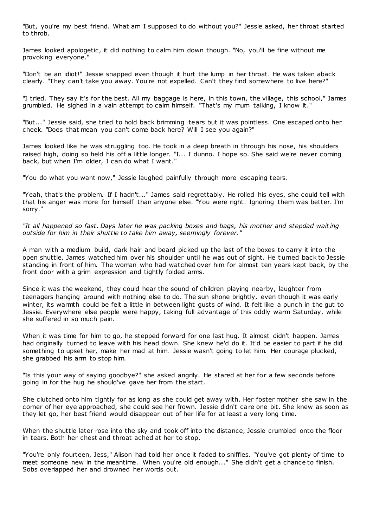"But, you're my best friend. What am I supposed to do without you?" Jessie asked, her throat started to throb.

James looked apologetic , it did nothing to calm him down though. "No, you'll be fine without me provoking everyone."

"Don't be an idiot!" Jessie snapped even though it hurt the lump in her throat. He was taken aback clearly. "They can't take you away. You're not expelled. Can't they find somewhere to live here?"

"I tried. They say it's for the best. All my baggage is here, in this town, the village, this school," James grumbled. He sighed in a vain attempt to calm himself. "That's my mum talking, I know it."

"But..." Jessie said, she tried to hold back brimming tears but it was pointless. One escaped onto her cheek. "Does that mean you can't come back here? Will I see you again?"

James looked like he was struggling too. He took in a deep breath in through his nose, his shoulders raised high, doing so held his off a little longer. "I... I dunno. I hope so. She said we're never coming back, but when I'm older, I can do what I want."

"You do what you want now," Jessie laughed painfully through more escaping tears.

"Yeah, that's the problem. If I hadn't..." James said regrettably. He rolled his eyes, she could tell with that his anger was more for himself than anyone else. "You were right. Ignoring them was better. I'm sorry."

*"It all happened so fast. Days later he was packing boxes and bags, his mother and stepdad wait ing outside for him in their shuttle to take him away, seemingly forever."*

A man with a medium build, dark hair and beard picked up the last of the boxes to carry it into the open shuttle. James watched him over his shoulder until he was out of sight. He t urned back to Jessie standing in front of him. The woman who had watched over him for almost ten years kept back, by the front door with a grim expression and tightly folded arms.

Since it was the weekend, they could hear the sound of children playing nearby, laughter from teenagers hanging around with nothing else to do. The sun shone brightly, even though it was early winter, its warmth could be felt a little in between light gusts of wind. It felt like a punch in the gut to Jessie. Everywhere else people were happy, taking full advantage of this oddly warm Saturday, while she suffered in so much pain.

When it was time for him to go, he stepped forward for one last hug. It almost didn't happen. James had originally turned to leave with his head down. She knew he'd do it. It'd be easier to part if he did something to upset her, make her mad at him. Jessie wasn't going to let him. Her courage plucked, she grabbed his arm to stop him.

"Is this your way of saying goodbye?" she asked angrily. He stared at her for a few seconds before going in for the hug he should've gave her from the start.

She clutched onto him tightly for as long as she could get away with. Her foster mother she saw in the corner of her eye approached, she could see her frown. Jessie didn't care one bit. She knew as soon as they let go, her best friend would disappear out of her life for at least a very long time.

When the shuttle later rose into the sky and took off into the distance, Jessie crumbled onto the floor in tears. Both her chest and throat ached at her to stop.

"You're only fourteen, Jess," Alison had told her once it faded to sniffles. "You've got plenty of time to meet someone new in the meantime. When you're old enough..." She didn't get a chance to finish. Sobs overlapped her and drowned her words out.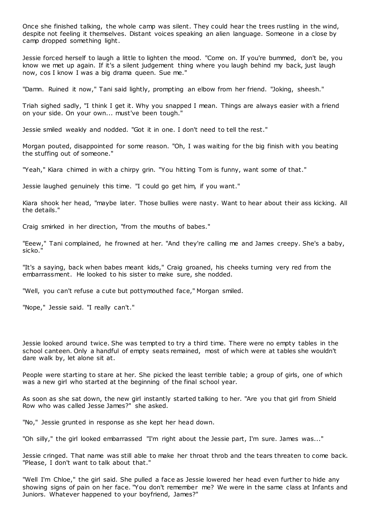Once she finished talking, the whole camp was silent. They could hear the trees rustling in the wind, despite not feeling it themselves. Distant voices speaking an alien language. Someone in a close by camp dropped something light.

Jessie forced herself to laugh a little to lighten the mood. "Come on. If you're bummed, don't be, you know we met up again. If it's a silent judgement thing where you laugh behind my back, just laugh now, cos I know I was a big drama queen. Sue me."

"Damn. Ruined it now," Tani said lightly, prompting an elbow from her friend. "Joking, sheesh."

Triah sighed sadly, "I think I get it. Why you snapped I mean. Things are always easier with a friend on your side. On your own... must've been tough."

Jessie smiled weakly and nodded. "Got it in one. I don't need to tell the rest."

Morgan pouted, disappointed for some reason. "Oh, I was waiting for the big finish with you beating the stuffing out of someone."

"Yeah," Kiara chimed in with a chirpy grin. "You hitting Tom is funny, want some of that."

Jessie laughed genuinely this time. "I could go get him, if you want."

Kiara shook her head, "maybe later. Those bullies were nasty. Want to hear about their ass kicking. All the details."

Craig smirked in her direction, "from the mouths of babes."

"Eeew," Tani complained, he frowned at her. "And they're calling me and James creepy. She's a baby, sicko."

"It's a saying, back when babes meant kids," Craig groaned, his cheeks turning very red from the embarrassment. He looked to his sister to make sure, she nodded.

"Well, you can't refuse a cute but pottymouthed face," Morgan smiled.

"Nope," Jessie said. "I really can't."

Jessie looked around twice. She was tempted to try a third time. There were no empty tables in the school canteen. Only a handful of empty seats remained, most of which were at tables she wouldn't dare walk by, let alone sit at.

People were starting to stare at her. She picked the least terrible table; a group of girls, one of which was a new girl who started at the beginning of the final school year.

As soon as she sat down, the new girl instantly started talking to her. "Are you that girl from Shield Row who was called Jesse James?" she asked.

"No," Jessie grunted in response as she kept her head down.

"Oh silly," the girl looked embarrassed "I'm right about the Jessie part, I'm sure. James was..."

Jessie cringed. That name was still able to make her throat throb and the tears threaten to come back. "Please, I don't want to talk about that."

"Well I'm Chloe," the girl said. She pulled a face as Jessie lowered her head even further to hide any showing signs of pain on her face. "You don't remember me? We were in the same class at Infants and Juniors. Whatever happened to your boyfriend, James?"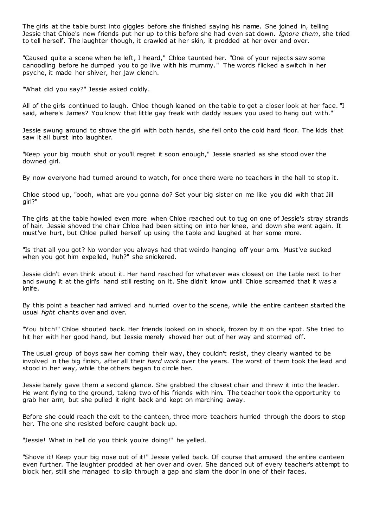The girls at the table burst into giggles before she finished saying his name. She joined in, telling Jessie that Chloe's new friends put her up to this before she had even sat down. *Ignore them*, she tried to tell herself. The laughter though, it crawled at her skin, it prodded at her over and over.

"Caused quite a scene when he left, I heard," Chloe taunted her. "One of your rejects saw some canoodling before he dumped you to go live with his mummy." The words flicked a switch in her psyche, it made her shiver, her jaw clench.

"What did you say?" Jessie asked coldly.

All of the girls continued to laugh. Chloe though leaned on the table to get a closer look at her face. "I said, where's James? You know that little gay freak with daddy issues you used to hang out with."

Jessie swung around to shove the girl with both hands, she fell onto the cold hard floor. The kids that saw it all burst into laughter.

"Keep your big mouth shut or you'll regret it soon enough," Jessie snarled as she stood over the downed girl.

By now everyone had turned around to watch, for once there were no teachers in the hall to stop it.

Chloe stood up, "oooh, what are you gonna do? Set your big sister on me like you did with that Jill girl?"

The girls at the table howled even more when Chloe reached out to tug on one of Jessie's stray strands of hair. Jessie shoved the chair Chloe had been sitting on into her knee, and down she went again. It must've hurt, but Chloe pulled herself up using the table and laughed at her some more.

"Is that all you got? No wonder you always had that weirdo hanging off your arm. Must've sucked when you got him expelled, huh?" she snickered.

Jessie didn't even think about it. Her hand reached for whatever was closest on the table next to her and swung it at the girl's hand still resting on it. She didn't know until Chloe screamed that it was a knife.

By this point a teacher had arrived and hurried over to the scene, while the entire canteen started the usual *fight* chants over and over.

"You bitch!" Chloe shouted back. Her friends looked on in shock, frozen by it on the spot. She tried to hit her with her good hand, but Jessie merely shoved her out of her way and stormed off.

The usual group of boys saw her coming their way, they couldn't resist, they clearly wanted to be involved in the big finish, after all their *hard work* over the years. The worst of them took the lead and stood in her way, while the others began to circle her.

Jessie barely gave them a second glance. She grabbed the closest chair and threw it into the leader. He went flying to the ground, taking two of his friends with him. The teacher took the opportunity to grab her arm, but she pulled it right back and kept on marching away.

Before she could reach the exit to the canteen, three more teachers hurried through the doors to stop her. The one she resisted before caught back up.

"Jessie! What in hell do you think you're doing!" he yelled.

"Shove it! Keep your big nose out of it!" Jessie yelled back. Of course that amused the entire canteen even further. The laughter prodded at her over and over. She danced out of every teacher's attempt to block her, still she managed to slip through a gap and slam the door in one of their faces.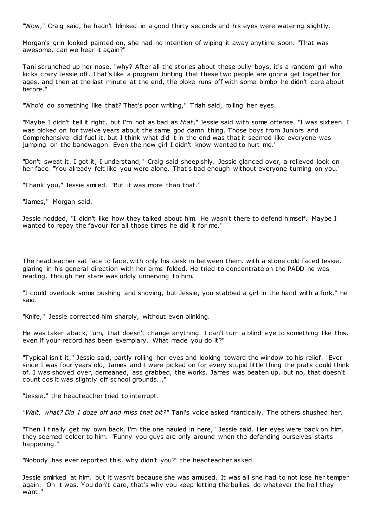"Wow," Craig said, he hadn't blinked in a good thirty seconds and his eyes were watering slightly.

Morgan's grin looked painted on, she had no intention of wiping it away anytime soon. "That was awesome, can we hear it again?"

Tani scrunched up her nose, "why? After all the stories about these bully boys, it's a random girl who kicks crazy Jessie off. That's like a program hinting that these two people are gonna get together for ages, and then at the last minute at the end, the bloke runs off with some bimbo he didn't care about before."

"Who'd do something like that? That's poor writing," Triah said, rolling her eyes.

"Maybe I didn't tell it right, but I'm not as bad as *that*," Jessie said with some offense. "I was sixteen. I was picked on for twelve years about the same god damn thing. Those boys from Juniors and Comprehensive did fuel it, but I think what did it in the end was that it seemed like everyone was jumping on the bandwagon. Even the new girl I didn't know wanted to hurt me."

"Don't sweat it. I got it, I understand," Craig said sheepishly. Jessie glanced over, a relieved look on her face. "You already felt like you were alone. That's bad enough without everyone turning on you."

"Thank you," Jessie smiled. "But it was more than that."

"James," Morgan said.

Jessie nodded, "I didn't like how they talked about him. He wasn't there to defend himself. Maybe I wanted to repay the favour for all those times he did it for me."

The headteacher sat face to face, with only his desk in between them, with a stone cold faced Jessie, glaring in his general direction with her arms folded. He tried to concentrate on the PADD he was reading, though her stare was oddly unnerving to him.

"I could overlook some pushing and shoving, but Jessie, you stabbed a girl in the hand with a fork," he said.

"Knife," Jessie corrected him sharply, without even blinking.

He was taken aback, "um, that doesn't change anything. I can't turn a blind eye to something like this, even if your record has been exemplary. What made you do it?"

"Typical isn't it," Jessie said, partly rolling her eyes and looking toward the window to his relief. "Ever since I was four years old, James and I were picked on for every stupid little thing the prats could think of. I was shoved over, demeaned, ass grabbed, the works. James was beaten up, but no, that doesn't count cos it was slightly off school grounds..."

"Jessie," the headteacher tried to interrupt.

*"Wait, what? Did I doze off and miss that bit?"* Tani's voice asked frantically. The others shushed her.

"Then I finally get my own back, I'm the one hauled in here," Jessie said. Her eyes were back on him, they seemed colder to him. "Funny you guys are only around when the defending ourselves starts happening."

"Nobody has ever reported this, why didn't you?" the headteacher asked.

Jessie smirked at him, but it wasn't because she was amused. It was all she had to not lose her temper again. "Oh it was. You don't care, that's why you keep letting the bullies do whatever the hell they want."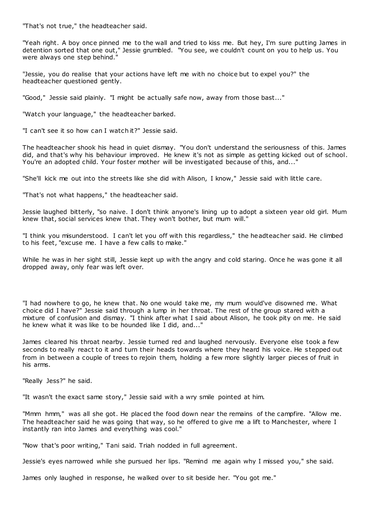"That's not true," the headteacher said.

"Yeah right. A boy once pinned me to the wall and tried to kiss me. But hey, I'm sure putting James in detention sorted that one out," Jessie grumbled. "You see, we couldn't count on you to help us. You were always one step behind."

"Jessie, you do realise that your actions have left me with no choice but to expel you?" the headteacher questioned gently.

"Good," Jessie said plainly. "I might be actually safe now, away from those bast..."

"Watch your language," the headteacher barked.

"I can't see it so how can I watch it?" Jessie said.

The headteacher shook his head in quiet dismay. "You don't understand the seriousness of this. James did, and that's why his behaviour improved. He knew it's not as simple as getting kicked out of school. You're an adopted child. Your foster mother will be investigated because of this, and..."

"She'll kick me out into the streets like she did with Alison, I know," Jessie said with little care.

"That's not what happens," the headteacher said.

Jessie laughed bitterly, "so naive. I don't think anyone's lining up to adopt a sixteen year old girl. Mum knew that, social services knew that. They won't bother, but mum will."

"I think you misunderstood. I can't let you off with this regardless," the headteacher said. He climbed to his feet, "excuse me. I have a few calls to make."

While he was in her sight still, Jessie kept up with the angry and cold staring. Once he was gone it all dropped away, only fear was left over.

"I had nowhere to go, he knew that. No one would take me, my mum would've disowned me. What choice did I have?" Jessie said through a lump in her throat. The rest of the group stared with a mixture of confusion and dismay. "I think after what I said about Alison, he took pity on me. He said he knew what it was like to be hounded like I did, and..."

James cleared his throat nearby. Jessie turned red and laughed nervously. Everyone else took a few seconds to really react to it and turn their heads towards where they heard his voice. He stepped out from in between a couple of trees to rejoin them, holding a few more slightly larger pieces of fruit in his arms.

"Really Jess?" he said.

"It wasn't the exact same story," Jessie said with a wry smile pointed at him.

"Mmm hmm," was all she got. He placed the food down near the remains of the campfire. "Allow me. The headteacher said he was going that way, so he offered to give me a lift to Manchester, where I instantly ran into James and everything was cool."

"Now that's poor writing," Tani said. Triah nodded in full agreement.

Jessie's eyes narrowed while she pursued her lips. "Remind me again why I missed you," she said.

James only laughed in response, he walked over to sit beside her. "You got me."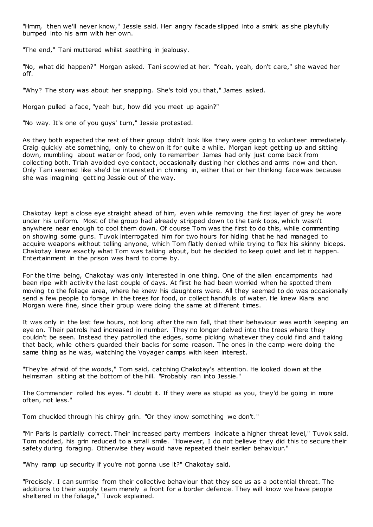"Hmm, then we'll never know," Jessie said. Her angry facade slipped into a smirk as she playfully bumped into his arm with her own.

"The end," Tani muttered whilst seething in jealousy.

"No, what did happen?" Morgan asked. Tani scowled at her. "Yeah, yeah, don't care," she waved her off.

"Why? The story was about her snapping. She's told you that," James asked.

Morgan pulled a face, "yeah but, how did you meet up again?"

"No way. It's one of you guys' turn," Jessie protested.

As they both expected the rest of their group didn't look like they were going to volunteer immediately. Craig quickly ate something, only to chew on it for quite a while. Morgan kept getting up and sitting down, mumbling about water or food, only to remember James had only just come back from collecting both. Triah avoided eye contact, occasionally dusting her clothes and arms now and then. Only Tani seemed like she'd be interested in chiming in, either that or her thinking face was because she was imagining getting Jessie out of the way.

Chakotay kept a close eye straight ahead of him, even while removing the first layer of grey he wore under his uniform. Most of the group had already stripped down to the tank tops, which wasn't anywhere near enough to cool them down. Of course Tom was the first to do this, while commenting on showing some guns. Tuvok interrogated him for two hours for hiding that he had managed to acquire weapons without telling anyone, which Tom flatly denied while trying to flex his skinny biceps. Chakotay knew exactly what Tom was talking about, but he decided to keep quiet and let it happen. Entertainment in the prison was hard to come by.

For the time being, Chakotay was only interested in one thing. One of the alien encampments had been ripe with activity the last couple of days. At first he had been worried when he spotted them moving to the foliage area, where he knew his daughters were. All they seemed to do was occasionally send a few people to forage in the trees for food, or collect handfuls of water. He knew Kiara and Morgan were fine, since their group were doing the same at different times.

It was only in the last few hours, not long after the rain fall, that their behaviour was worth keeping an eye on. Their patrols had increased in number. They no longer delved into the trees where they couldn't be seen. Instead they patrolled the edges, some picking whatever they could find and t aking that back, while others guarded their backs for some reason. The ones in the camp were doing the same thing as he was, watching the Voyager camps with keen interest.

"They're afraid of the *woods*," Tom said, catching Chakotay's attention. He looked down at the helmsman sitting at the bottom of the hill. "Probably ran into Jessie."

The Commander rolled his eyes. "I doubt it. If they were as stupid as you, they'd be going in more often, not less."

Tom chuckled through his chirpy grin. "Or they know something we don't."

"Mr Paris is partially correct. Their increased party members indicate a higher threat level," Tuvok said. Tom nodded, his grin reduced to a small smile. "However, I do not believe they did this to secure their safety during foraging. Otherwise they would have repeated their earlier behaviour."

"Why ramp up security if you're not gonna use it?" Chakotay said.

"Precisely. I can surmise from their collective behaviour that they see us as a potential threat. The additions to their supply team merely a front for a border defence. They will know we have people sheltered in the foliage," Tuvok explained.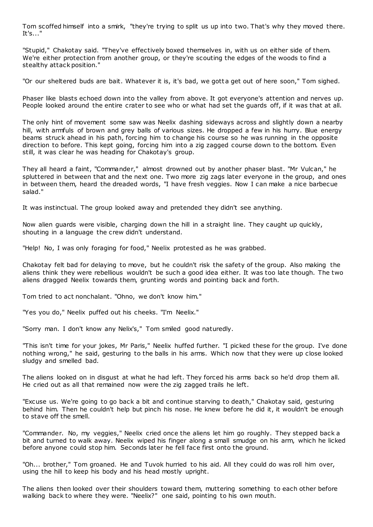Tom scoffed himself into a smirk, "they're trying to split us up into two. That's why they moved there. It's..."

"Stupid," Chakotay said. "They've effectively boxed themselves in, with us on either side of them. We're either protection from another group, or they're scouting the edges of the woods to find a stealthy attack position."

"Or our sheltered buds are bait. Whatever it is, it's bad, we gotta get out of here soon," Tom sighed.

Phaser like blasts echoed down into the valley from above. It got everyone's attention and nerves up. People looked around the entire crater to see who or what had set the guards off, if it was that at all.

The only hint of movement some saw was Neelix dashing sideways across and slightly down a nearby hill, with armfuls of brown and grey balls of various sizes. He dropped a few in his hurry. Blue energy beams struck ahead in his path, forcing him to change his course so he was running in the opposite direction to before. This kept going, forcing him into a zig zagged course down to the bottom. Even still, it was clear he was heading for Chakotay's group.

They all heard a faint, "Commander," almost drowned out by another phaser blast. "Mr Vulcan," he spluttered in between that and the next one. Two more zig zags later everyone in the group, and ones in between them, heard the dreaded words, "I have fresh veggies. Now I can make a nice barbecue salad."

It was instinctual. The group looked away and pretended they didn't see anything.

Now alien guards were visible, charging down the hill in a straight line. They caught up quickly, shouting in a language the crew didn't understand.

"Help! No, I was only foraging for food," Neelix protested as he was grabbed.

Chakotay felt bad for delaying to move, but he couldn't risk the safety of the group. Also making the aliens think they were rebellious wouldn't be such a good idea either. It was too late though. The two aliens dragged Neelix towards them, grunting words and pointing back and forth.

Tom tried to act nonchalant. "Ohno, we don't know him."

"Yes you do," Neelix puffed out his cheeks. "I'm Neelix."

"Sorry man. I don't know any Nelix's," Tom smiled good naturedly.

"This isn't time for your jokes, Mr Paris," Neelix huffed further. "I picked these for the group. I've done nothing wrong," he said, gesturing to the balls in his arms. Which now that they were up close looked sludgy and smelled bad.

The aliens looked on in disgust at what he had left. They forced his arms back so he'd drop them all. He cried out as all that remained now were the zig zagged trails he left.

"Excuse us. We're going to go back a bit and continue starving to death," Chakotay said, gesturing behind him. Then he couldn't help but pinch his nose. He knew before he did it, it wouldn't be enough to stave off the smell.

"Commander. No, my veggies," Neelix cried once the aliens let him go roughly. They stepped back a bit and turned to walk away. Neelix wiped his finger along a small smudge on his arm, which he licked before anyone could stop him. Seconds later he fell face first onto the ground.

"Oh... brother," Tom groaned. He and Tuvok hurried to his aid. All they could do was roll him over, using the hill to keep his body and his head mostly upright.

The aliens then looked over their shoulders toward them, muttering something to each other before walking back to where they were. "Neelix?" one said, pointing to his own mouth.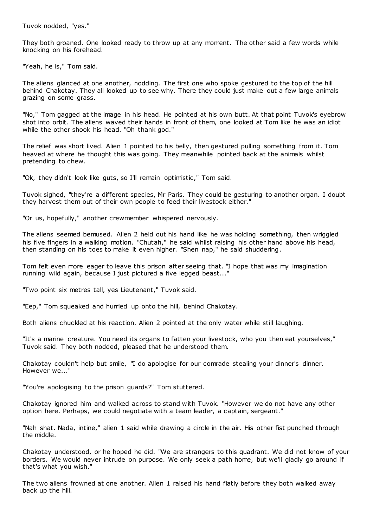Tuvok nodded, "yes."

They both groaned. One looked ready to throw up at any moment. The other said a few words while knocking on his forehead.

"Yeah, he is," Tom said.

The aliens glanced at one another, nodding. The first one who spoke gestured to the top of the hill behind Chakotay. They all looked up to see why. There they could just make out a few large animals grazing on some grass.

"No," Tom gagged at the image in his head. He pointed at his own butt. At that point Tuvok's eyebrow shot into orbit. The aliens waved their hands in front of them, one looked at Tom like he was an idiot while the other shook his head. "Oh thank god."

The relief was short lived. Alien 1 pointed to his belly, then gestured pulling something from it. Tom heaved at where he thought this was going. They meanwhile pointed back at the animals whilst pretending to chew.

"Ok, they didn't look like guts, so I'll remain optimistic ," Tom said.

Tuvok sighed, "they're a different species, Mr Paris. They could be gesturing to another organ. I doubt they harvest them out of their own people to feed their livestock either."

"Or us, hopefully," another crewmember whispered nervously.

The aliens seemed bemused. Alien 2 held out his hand like he was holding something, then wriggled his five fingers in a walking motion. "Chutah," he said whilst raising his other hand above his head, then standing on his toes to make it even higher. "Shen nap," he said shuddering.

Tom felt even more eager to leave this prison after seeing that. "I hope that was my imagination running wild again, because I just pictured a five legged beast..."

"Two point six metres tall, yes Lieutenant," Tuvok said.

"Eep," Tom squeaked and hurried up onto the hill, behind Chakotay.

Both aliens chuckled at his reaction. Alien 2 pointed at the only water while still laughing.

"It's a marine creature. You need its organs to fatten your livestock, who you then eat yourselves," Tuvok said. They both nodded, pleased that he understood them.

Chakotay couldn't help but smile, "I do apologise for our comrade stealing your dinner's dinner. However we..."

"You're apologising to the prison guards?" Tom stuttered.

Chakotay ignored him and walked across to stand with Tuvok. "However we do not have any other option here. Perhaps, we could negotiate with a team leader, a captain, sergeant."

"Nah shat. Nada, intine," alien 1 said while drawing a circle in the air. His other fist punched through the middle.

Chakotay understood, or he hoped he did. "We are strangers to this quadrant. We did not know of your borders. We would never intrude on purpose. We only seek a path home, but we'll gladly go around if that's what you wish."

The two aliens frowned at one another. Alien 1 raised his hand flatly before they both walked away back up the hill.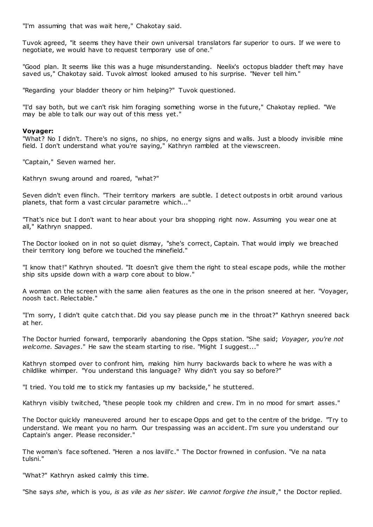"I'm assuming that was wait here," Chakotay said.

Tuvok agreed, "it seems they have their own universal translators far superior to ours. If we were to negotiate, we would have to request temporary use of one."

"Good plan. It seems like this was a huge misunderstanding. Neelix's octopus bladder theft may have saved us," Chakotay said. Tuvok almost looked amused to his surprise. "Never tell him."

"Regarding your bladder theory or him helping?" Tuvok questioned.

"I'd say both, but we can't risk him foraging something worse in the future," Chakotay replied. "We may be able to talk our way out of this mess yet."

#### **Voyager:**

"What? No I didn't. There's no signs, no ships, no energy signs and walls. Just a bloody invisible mine field. I don't understand what you're saying," Kathryn rambled at the viewscreen.

"Captain," Seven warned her.

Kathryn swung around and roared, "what?"

Seven didn't even flinch. "Their territory markers are subtle. I detect outposts in orbit around various planets, that form a vast circular parametre which..."

"That's nice but I don't want to hear about your bra shopping right now. Assuming you wear one at all," Kathryn snapped.

The Doctor looked on in not so quiet dismay, "she's correct, Captain. That would imply we breached their territory long before we touched the minefield."

"I know that!" Kathryn shouted. "It doesn't give them the right to steal escape pods, while the mother ship sits upside down with a warp core about to blow."

A woman on the screen with the same alien features as the one in the prison sneered at her. "Voyager, noosh tact. Relectable."

"I'm sorry, I didn't quite catch that. Did you say please punch me in the throat?" Kathryn sneered back at her.

The Doctor hurried forward, temporarily abandoning the Opps station. "She said; *Voyager, you're not welcome. Savages*." He saw the steam starting to rise. "Might I suggest..."

Kathryn stomped over to confront him, making him hurry backwards back to where he was with a childlike whimper. "You understand this language? Why didn't you say so before?"

"I tried. You told me to stick my fantasies up my backside," he stuttered.

Kathryn visibly twitched, "these people took my children and crew. I'm in no mood for smart asses."

The Doctor quickly maneuvered around her to escape Opps and get to the centre of the bridge. "Try to understand. We meant you no harm. Our trespassing was an accident. I'm sure you understand our Captain's anger. Please reconsider."

The woman's face softened. "Heren a nos lavill'c ." The Doctor frowned in confusion. "Ve na nata tulsni."

"What?" Kathryn asked calmly this time.

"She says *she*, which is you, *is as vile as her sister. We cannot forgive the insult*," the Doctor replied.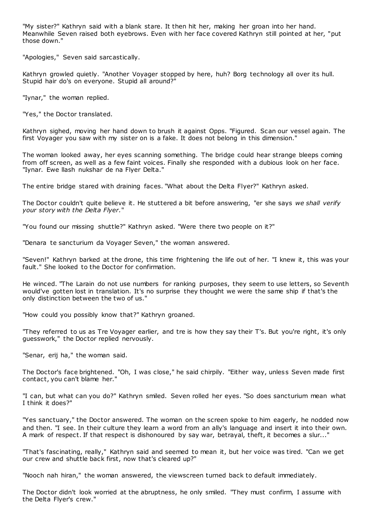"My sister?" Kathryn said with a blank stare. It then hit her, making her groan into her hand. Meanwhile Seven raised both eyebrows. Even with her face covered Kathryn still pointed at her, "put those down."

"Apologies," Seven said sarcastically.

Kathryn growled quietly. "Another Voyager stopped by here, huh? Borg technology all over its hull. Stupid hair do's on everyone. Stupid all around?"

"Iynar," the woman replied.

"Yes," the Doctor translated.

Kathryn sighed, moving her hand down to brush it against Opps. "Figured. Scan our vessel again. The first Voyager you saw with my sister on is a fake. It does not belong in this dimension."

The woman looked away, her eyes scanning something. The bridge could hear strange bleeps coming from off screen, as well as a few faint voices. Finally she responded with a dubious look on her face. "Iynar. Ewe llash nukshar de na Flyer Delta."

The entire bridge stared with draining faces. "What about the Delta Flyer?" Kathryn asked.

The Doctor couldn't quite believe it. He stuttered a bit before answering, "er she says *we shall verify your story with the Delta Flyer.*"

"You found our missing shuttle?" Kathryn asked. "Were there two people on it?"

"Denara te sancturium da Voyager Seven," the woman answered.

"Seven!" Kathryn barked at the drone, this time frightening the life out of her. "I knew it, this was your fault." She looked to the Doctor for confirmation.

He winced. "The Larain do not use numbers for ranking purposes, they seem to use letters, so Seventh would've gotten lost in translation. It's no surprise they thought we were the same ship if that's the only distinction between the two of us."

"How could you possibly know that?" Kathryn groaned.

"They referred to us as Tre Voyager earlier, and tre is how they say their T's. But you're right, it's only guesswork," the Doctor replied nervously.

"Senar, erij ha," the woman said.

The Doctor's face brightened. "Oh, I was close," he said chirpily. "Either way, unless Seven made first contact, you can't blame her."

"I can, but what can you do?" Kathryn smiled. Seven rolled her eyes. "So does sancturium mean what I think it does?"

"Yes sanctuary," the Doctor answered. The woman on the screen spoke to him eagerly, he nodded now and then. "I see. In their culture they learn a word from an ally's language and insert it into their own. A mark of respect. If that respect is dishonoured by say war, betrayal, theft, it becomes a slur..."

"That's fascinating, really," Kathryn said and seemed to mean it, but her voice was tired. "Can we get our crew and shuttle back first, now that's cleared up?"

"Nooch nah hiran," the woman answered, the viewscreen turned back to default immediately.

The Doctor didn't look worried at the abruptness, he only smiled. "They must confirm, I assume with the Delta Flyer's crew."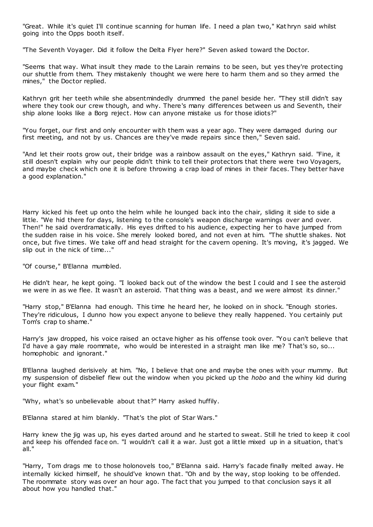"Great. While it's quiet I'll continue scanning for human life. I need a plan two," Kat hryn said whilst going into the Opps booth itself.

"The Seventh Voyager. Did it follow the Delta Flyer here?" Seven asked toward the Doctor.

"Seems that way. What insult they made to the Larain remains to be seen, but yes they're protecting our shuttle from them. They mistakenly thought we were here to harm them and so they armed the mines," the Doctor replied.

Kathryn grit her teeth while she absentmindedly drummed the panel beside her. "They still didn't say where they took our crew though, and why. There's many differences between us and Seventh, their ship alone looks like a Borg reject. How can anyone mistake us for those idiots?"

"You forget, our first and only encounter with them was a year ago. They were damaged during our first meeting, and not by us. Chances are they've made repairs since then," Seven said.

"And let their roots grow out, their bridge was a rainbow assault on the eyes," Kathryn said. "Fine, it still doesn't explain why our people didn't think to tell their protectors that there were two Voyagers, and maybe check which one it is before throwing a crap load of mines in their faces. They better have a good explanation."

Harry kicked his feet up onto the helm while he lounged back into the chair, sliding it side to side a little. "We hid there for days, listening to the console's weapon discharge warnings over and over. Then!" he said overdramatically. His eyes drifted to his audience, expecting her to have jumped from the sudden raise in his voice. She merely looked bored, and not even at him. "The shuttle shakes. Not once, but five times. We take off and head straight for the cavern opening. It's moving, it's jagged. We slip out in the nick of time..."

"Of course," B'Elanna mumbled.

He didn't hear, he kept going. "I looked back out of the window the best I could and I see the asteroid we were in as we flee. It wasn't an asteroid. That thing was a beast, and we were almost its dinner."

"Harry stop," B'Elanna had enough. This time he heard her, he looked on in shock. "Enough stories. They're ridiculous, I dunno how you expect anyone to believe they really happened. You certainly put Tom's crap to shame."

Harry's jaw dropped, his voice raised an octave higher as his offense took over. "You can't believe that I'd have a gay male roommate, who would be interested in a straight man like me? That's so, so... homophobic and ignorant."

B'Elanna laughed derisively at him. "No, I believe that one and maybe the ones with your mummy. But my suspension of disbelief flew out the window when you picked up the *hobo* and the whiny kid during your flight exam."

"Why, what's so unbelievable about that?" Harry asked huffily.

B'Elanna stared at him blankly. "That's the plot of Star Wars."

Harry knew the jig was up, his eyes darted around and he started to sweat. Still he tried to keep it cool and keep his offended face on. "I wouldn't call it a war. Just got a little mixed up in a situation, that's all."

"Harry, Tom drags me to those holonovels too," B'Elanna said. Harry's facade finally melted away. He internally kicked himself, he should've known that. "Oh and by the way, stop looking to be offended. The roommate story was over an hour ago. The fact that you jumped to that conclusion says it all about how you handled that."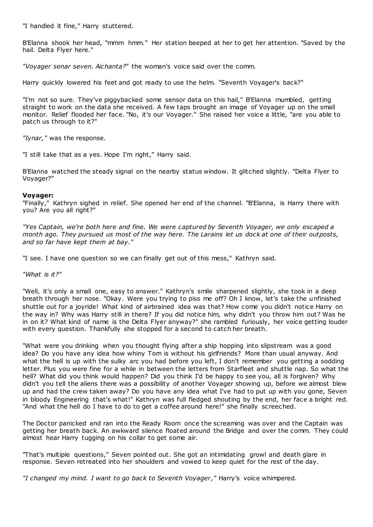"I handled it fine," Harry stuttered.

B'Elanna shook her head, "mmm hmm." Her station beeped at her to get her attention. "Saved by the hail. Delta Flyer here."

*"Voyager senar seven. Aichanta?*" the woman's voice said over the comm.

Harry quickly lowered his feet and got ready to use the helm. "Seventh Voyager's back?"

"I'm not so sure. They've piggybacked some sensor data on this hail," B'Elanna mumbled, getting straight to work on the data she received. A few taps brought an image of Voyager up on the small monitor. Relief flooded her face. "No, it's our Voyager." She raised her voice a little, "are you able to patch us through to it?"

*"Iynar,"* was the response.

"I still take that as a yes. Hope I'm right," Harry said.

B'Elanna watched the steady signal on the nearby status window. It glitched slightly. "Delta Flyer to Voyager?"

## **Voyager:**

"Finally," Kathryn sighed in relief. She opened her end of the channel. "B'Elanna, is Harry there with you? Are you all right?"

*"Yes Captain, we're both here and fine. We were captured by Seventh Voyager, we only escaped a month ago. They pursued us most of the way here. The Larains let us dock at one of their outposts, and so far have kept them at bay."*

"I see. I have one question so we can finally get out of this mess," Kathryn said.

*"What is it?"*

"Well, it's only a small one, easy to answer." Kathryn's smile sharpened slightly, she took in a deep breath through her nose. "Okay. Were you trying to piss me off? Oh I know, let's take the unfinished shuttle out for a joyride! What kind of airbrained idea was that? How come you didn't notice Harry on the way in? Why was Harry still in there? If you did notice him, why didn't you throw him out? Was he in on it? What kind of name is the Delta Flyer anyway?" she rambled furiously, her voice getting louder with every question. Thankfully she stopped for a second to catch her breath.

"What were you drinking when you thought flying after a ship hopping into slipstream was a good idea? Do you have any idea how whiny Tom is without his girlfriends? More than usual anyway. And what the hell is up with the sulky arc you had before you left, I don't remember you getting a sodding letter. Plus you were fine for a while in between the letters from Starfleet and shuttle nap. So what the hell? What did you think would happen? Did you think I'd be happy to see you, all is forgiven? Why didn't you tell the aliens there was a possibility of another Voyager showing up, before we almost blew up and had the crew taken away? Do you have any idea what I've had to put up with you gone, Seven in bloody Engineering that's what!" Kathryn was full fledged shouting by the end, her face a bright red. "And what the hell do I have to do to get a coffee around here!" she finally screeched.

The Doctor panicked and ran into the Ready Room once the screaming was over and the Captain was getting her breath back. An awkward silence floated around the Bridge and over the comm. They could almost hear Harry tugging on his collar to get some air.

"That's multiple questions," Seven pointed out. She got an intimidating growl and death glare in response. Seven retreated into her shoulders and vowed to keep quiet for the rest of the day.

*"I changed my mind. I want to go back to Seventh Voyager ,"* Harry's voice whimpered.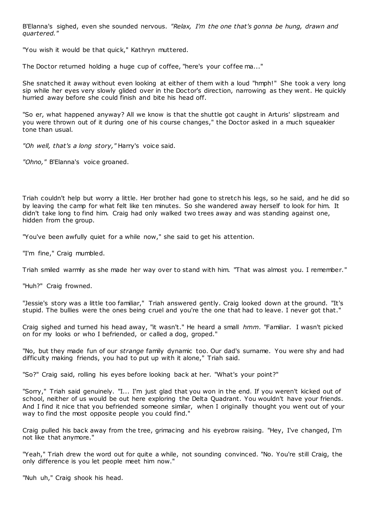B'Elanna's sighed, even she sounded nervous. *"Relax, I'm the one that's gonna be hung, drawn and quartered."*

"You wish it would be that quick," Kathryn muttered.

The Doctor returned holding a huge cup of coffee, "here's your coffee ma..."

She snatched it away without even looking at either of them with a loud "hmph!" She took a very long sip while her eyes very slowly glided over in the Doctor's direction, narrowing as they went. He quickly hurried away before she could finish and bite his head off.

"So er, what happened anyway? All we know is that the shuttle got caught in Arturis' slipstream and you were thrown out of it during one of his course changes," the Doctor asked in a much squeakier tone than usual.

*"Oh well, that's a long story,"* Harry's voice said.

*"Ohno,"* B'Elanna's voice groaned.

Triah couldn't help but worry a little. Her brother had gone to stretch his legs, so he said, and he did so by leaving the camp for what felt like ten minutes. So she wandered away herself to look for him. It didn't take long to find him. Craig had only walked two trees away and was standing against one, hidden from the group.

"You've been awfully quiet for a while now," she said to get his attention.

"I'm fine," Craig mumbled.

Triah smiled warmly as she made her way over to stand with him. "That was almost you. I remember."

"Huh?" Craig frowned.

"Jessie's story was a little too familiar," Triah answered gently. Craig looked down at the ground. "It's stupid. The bullies were the ones being cruel and you're the one that had to leave. I never got that."

Craig sighed and turned his head away, "it wasn't." He heard a small *hmm.* "Familiar. I wasn't picked on for my looks or who I befriended, or called a dog, groped."

"No, but they made fun of our *strange* family dynamic too. Our dad's surname. You were shy and had difficulty making friends, you had to put up with it alone," Triah said.

"So?" Craig said, rolling his eyes before looking back at her. "What's your point?"

"Sorry," Triah said genuinely. "I... I'm just glad that you won in the end. If you weren't kicked out of school, neither of us would be out here exploring the Delta Quadrant. You wouldn't have your friends. And I find it nice that you befriended someone similar, when I originally thought you went out of your way to find the most opposite people you could find."

Craig pulled his back away from the tree, grimacing and his eyebrow raising. "Hey, I've changed, I'm not like that anymore."

"Yeah," Triah drew the word out for quite a while, not sounding convinced. "No. You're still Craig, the only difference is you let people meet him now."

"Nuh uh," Craig shook his head.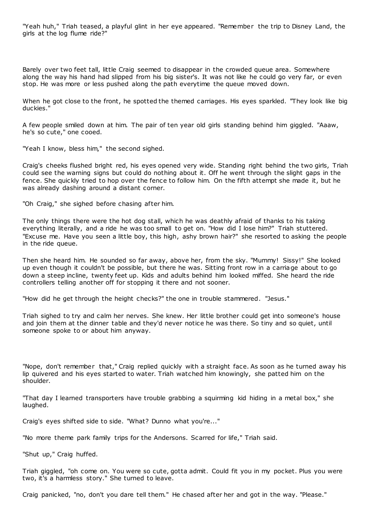"Yeah huh," Triah teased, a playful glint in her eye appeared. "Remember the trip to Disney Land, the girls at the log flume ride?"

Barely over two feet tall, little Craig seemed to disappear in the crowded queue area. Somewhere along the way his hand had slipped from his big sister's. It was not like he could go very far, or even stop. He was more or less pushed along the path everytime the queue moved down.

When he got close to the front, he spotted the themed carriages. His eyes sparkled. "They look like big duckies."

A few people smiled down at him. The pair of ten year old girls standing behind him giggled. "Aaaw, he's so cute," one cooed.

"Yeah I know, bless him," the second sighed.

Craig's cheeks flushed bright red, his eyes opened very wide. Standing right behind the two girls, Triah could see the warning signs but could do nothing about it. Off he went through the slight gaps in the fence. She quickly tried to hop over the fence to follow him. On the fifth attempt she made it, but he was already dashing around a distant corner.

"Oh Craig," she sighed before chasing after him.

The only things there were the hot dog stall, which he was deathly afraid of thanks to his taking everything literally, and a ride he was too small to get on. "How did I lose him?" Triah stuttered. "Excuse me. Have you seen a little boy, this high, ashy brown hair?" she resorted to asking the people in the ride queue.

Then she heard him. He sounded so far away, above her, from the sky. "Mummy! Sissy!" She looked up even though it couldn't be possible, but there he was. Sitting front row in a carriage about to go down a steep incline, twenty feet up. Kids and adults behind him looked miffed. She heard the ride controllers telling another off for stopping it there and not sooner.

"How did he get through the height checks?" the one in trouble stammered. "Jesus."

Triah sighed to try and calm her nerves. She knew. Her little brother could get into someone's house and join them at the dinner table and they'd never notice he was there. So tiny and so quiet, until someone spoke to or about him anyway.

"Nope, don't remember that," Craig replied quickly with a straight face. As soon as he turned away his lip quivered and his eyes started to water. Triah watched him knowingly, she patted him on the shoulder.

"That day I learned transporters have trouble grabbing a squirming kid hiding in a metal box," she laughed.

Craig's eyes shifted side to side. "What? Dunno what you're..."

"No more theme park family trips for the Andersons. Scarred for life," Triah said.

"Shut up," Craig huffed.

Triah giggled, "oh come on. You were so cute, gotta admit. Could fit you in my pocket. Plus you were two, it's a harmless story." She turned to leave.

Craig panicked, "no, don't you dare tell them." He chased after her and got in the way. "Please."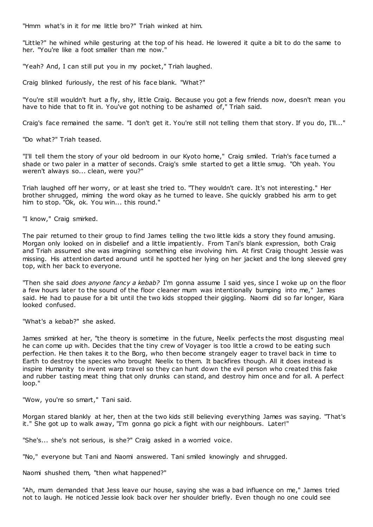"Hmm what's in it for me little bro?" Triah winked at him.

"Little?" he whined while gesturing at the top of his head. He lowered it quite a bit to do the same to her. "You're like a foot smaller than me now."

"Yeah? And, I can still put you in my pocket," Triah laughed.

Craig blinked furiously, the rest of his face blank. "What?"

"You're still wouldn't hurt a fly, shy, little Craig. Because you got a few friends now, doesn't mean you have to hide that to fit in. You've got nothing to be ashamed of," Triah said.

Craig's face remained the same. "I don't get it. You're still not telling them that story. If you do, I'll..."

"Do what?" Triah teased.

"I'll tell them the story of your old bedroom in our Kyoto home," Craig smiled. Triah's face turned a shade or two paler in a matter of seconds. Craig's smile started to get a little smug. "Oh yeah. You weren't always so... clean, were you?"

Triah laughed off her worry, or at least she tried to. "They wouldn't care. It's not interesting." Her brother shrugged, miming the word okay as he turned to leave. She quickly grabbed his arm to get him to stop. "Ok, ok. You win... this round."

"I know," Craig smirked.

The pair returned to their group to find James telling the two little kids a story they found amusing. Morgan only looked on in disbelief and a little impatiently. From Tani's blank expression, both Craig and Triah assumed she was imagining something else involving him. At first Craig thought Jessie was missing. His attention darted around until he spotted her lying on her jacket and the long sleeved grey top, with her back to everyone.

"Then she said *does anyone fancy a kebab?* I'm gonna assume I said yes, since I woke up on the floor a few hours later to the sound of the floor cleaner mum was intentionally bumping into me," James said. He had to pause for a bit until the two kids stopped their giggling. Naomi did so far longer, Kiara looked confused.

"What's a kebab?" she asked.

James smirked at her, "the theory is sometime in the future, Neelix perfects the most disgusting meal he can come up with. Decides that the tiny crew of Voyager is too little a crowd to be eating such perfection. He then takes it to the Borg, who then become strangely eager to travel back in time to Earth to destroy the species who brought Neelix to them. It backfires though. All it does instead is inspire Humanity to invent warp travel so they can hunt down the evil person who created this fake and rubber tasting meat thing that only drunks can stand, and destroy him once and for all. A perfect loop."

"Wow, you're so smart," Tani said.

Morgan stared blankly at her, then at the two kids still believing everything James was saying. "That's it." She got up to walk away, "I'm gonna go pick a fight with our neighbours. Later!"

"She's... she's not serious, is she?" Craig asked in a worried voice.

"No," everyone but Tani and Naomi answered. Tani smiled knowingly and shrugged.

Naomi shushed them, "then what happened?"

"Ah, mum demanded that Jess leave our house, saying she was a bad influence on me," James tried not to laugh. He noticed Jessie look back over her shoulder briefly. Even though no one could see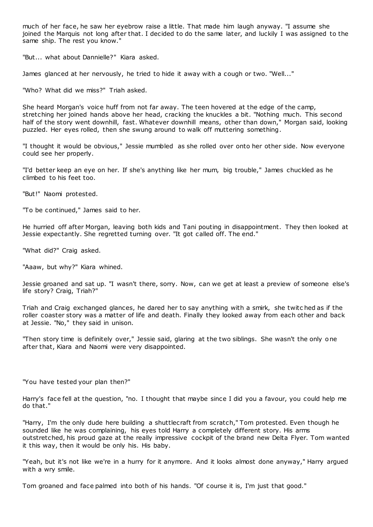much of her face, he saw her eyebrow raise a little. That made him laugh anyway. "I assume she joined the Marquis not long after that. I decided to do the same later, and luckily I was assigned to the same ship. The rest you know."

"But... what about Dannielle?" Kiara asked.

James glanced at her nervously, he tried to hide it away with a cough or two. "Well..."

"Who? What did we miss?" Triah asked.

She heard Morgan's voice huff from not far away. The teen hovered at the edge of the camp, stretching her joined hands above her head, cracking the knuckles a bit. "Nothing much. This second half of the story went downhill, fast. Whatever downhill means, other than down," Morgan said, looking puzzled. Her eyes rolled, then she swung around to walk off muttering something.

"I thought it would be obvious," Jessie mumbled as she rolled over onto her other side. Now everyone could see her properly.

"I'd better keep an eye on her. If she's anything like her mum, big trouble," James chuckled as he climbed to his feet too.

"But!" Naomi protested.

"To be continued," James said to her.

He hurried off after Morgan, leaving both kids and Tani pouting in disappointment. They then looked at Jessie expectantly. She regretted turning over. "It got called off. The end."

"What did?" Craig asked.

"Aaaw, but why?" Kiara whined.

Jessie groaned and sat up. "I wasn't there, sorry. Now, can we get at least a preview of someone else's life story? Craig, Triah?"

Triah and Craig exchanged glances, he dared her to say anything with a smirk, she twitc hed as if the roller coaster story was a matter of life and death. Finally they looked away from each other and back at Jessie. "No," they said in unison.

"Then story time is definitely over," Jessie said, glaring at the two siblings. She wasn't the only one after that, Kiara and Naomi were very disappointed.

"You have tested your plan then?"

Harry's face fell at the question, "no. I thought that maybe since I did you a favour, you could help me do that."

"Harry, I'm the only dude here building a shuttlecraft from scratch," Tom protested. Even though he sounded like he was complaining, his eyes told Harry a completely different story. His arms outstretched, his proud gaze at the really impressive cockpit of the brand new Delta Flyer. Tom wanted it this way, then it would be only his. His baby.

"Yeah, but it's not like we're in a hurry for it anymore. And it looks almost done anyway," Harry argued with a wry smile.

Tom groaned and face palmed into both of his hands. "Of course it is, I'm just that good."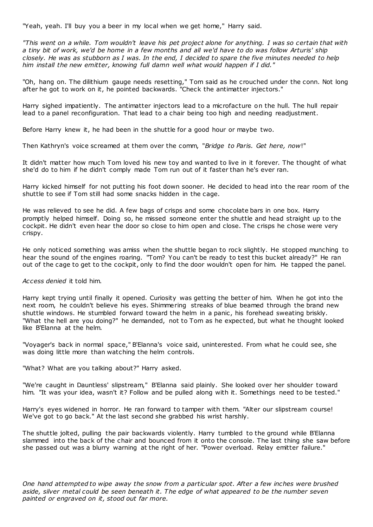"Yeah, yeah. I'll buy you a beer in my local when we get home," Harry said.

*"This went on a while. Tom wouldn't leave his pet project alone for anything. I was so certain that with a tiny bit of work, we'd be home in a few months and all we'd have to do was follow Arturis' ship closely. He was as stubborn as I was. In the end, I decided to spare the five minutes needed to help him install the new emitter, knowing full damn well what would happen if I did."*

"Oh, hang on. The dilithium gauge needs resetting," Tom said as he crouched under the conn. Not long after he got to work on it, he pointed backwards. "Check the antimatter injectors."

Harry sighed impatiently. The antimatter injectors lead to a microfacture on the hull. The hull repair lead to a panel reconfiguration. That lead to a chair being too high and needing readjustment.

Before Harry knew it, he had been in the shuttle for a good hour or maybe two.

Then Kathryn's voice screamed at them over the comm, "*Bridge to Paris. Get here, now*!"

It didn't matter how much Tom loved his new toy and wanted to live in it forever. The thought of what she'd do to him if he didn't comply made Tom run out of it faster than he's ever ran.

Harry kicked himself for not putting his foot down sooner. He decided to head into the rear room of the shuttle to see if Tom still had some snacks hidden in the cage.

He was relieved to see he did. A few bags of crisps and some chocolate bars in one box. Harry promptly helped himself. Doing so, he missed someone enter the shuttle and head straight up to the cockpit. He didn't even hear the door so close to him open and close. The crisps he chose were very crispy.

He only noticed something was amiss when the shuttle began to rock slightly. He stopped munching to hear the sound of the engines roaring. "Tom? You can't be ready to test this bucket already?" He ran out of the cage to get to the cockpit, only to find the door wouldn't open for him. He tapped the panel.

#### *Access denied* it told him.

Harry kept trying until finally it opened. Curiosity was getting the better of him. When he got into the next room, he couldn't believe his eyes. Shimmering streaks of blue beamed through the brand new shuttle windows. He stumbled forward toward the helm in a panic, his forehead sweating briskly. "What the hell are you doing?" he demanded, not to Tom as he expected, but what he thought looked like B'Elanna at the helm.

"Voyager's back in normal space," B'Elanna's voice said, uninterested. From what he could see, she was doing little more than watching the helm controls.

"What? What are you talking about?" Harry asked.

"We're caught in Dauntless' slipstream," B'Elanna said plainly. She looked over her shoulder toward him. "It was your idea, wasn't it? Follow and be pulled along with it. Somethings need to be tested."

Harry's eyes widened in horror. He ran forward to tamper with them. "Alter our slipstream course! We've got to go back." At the last second she grabbed his wrist harshly.

The shuttle jolted, pulling the pair backwards violently. Harry tumbled to the ground while B'Elanna slammed into the back of the chair and bounced from it onto the console. The last thing she saw before she passed out was a blurry warning at the right of her. "Power overload. Relay emitter failure."

*One hand attempted to wipe away the snow from a particular spot. After a few inches were brushed aside, silver metal could be seen beneath it. The edge of what appeared to be the number seven painted or engraved on it, stood out far more.*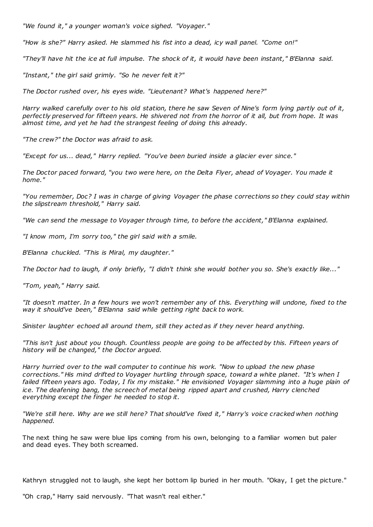*"We found it," a younger woman's voice sighed. "Voyager."*

*"How is she?" Harry asked. He slammed his fist into a dead, icy wall panel. "Come on!"*

*"They'll have hit the ice at full impulse. The shock of it, it would have been instant," B'Elanna said.*

*"Instant," the girl said grimly. "So he never felt it?"*

*The Doctor rushed over, his eyes wide. "Lieutenant? What's happened here?"*

*Harry walked carefully over to his old station, there he saw Seven of Nine's form lying partly out of it, perfectly preserved for fifteen years. He shivered not from the horror of it all, but from hope. It was almost time, and yet he had the strangest feeling of doing this already.*

*"The crew?" the Doctor was afraid to ask.*

*"Except for us... dead," Harry replied. "You've been buried inside a glacier ever since."*

*The Doctor paced forward, "you two were here, on the Delta Flyer, ahead of Voyager. You made it home."*

*"You remember, Doc? I was in charge of giving Voyager the phase corrections so they could stay within the slipstream threshold," Harry said.*

*"We can send the message to Voyager through time, to before the accident," B'Elanna explained.*

*"I know mom, I'm sorry too," the girl said with a smile.*

*B'Elanna chuckled. "This is Miral, my daughter."*

*The Doctor had to laugh, if only briefly, "I didn't think she would bother you so. She's exactly like..."*

*"Tom, yeah," Harry said.*

*"It doesn't matter. In a few hours we won't remember any of this. Everything will undone, fixed to the way it should've been," B'Elanna said while getting right back to work.*

*Sinister laughter echoed all around them, still they acted as if they never heard anything.*

*"This isn't just about you though. Countless people are going to be affected by this. Fifteen years of history will be changed," the Doctor argued.*

*Harry hurried over to the wall computer to continue his work. "Now to upload the new phase corrections." His mind drifted to Voyager hurtling through space, toward a white planet. "It's when I failed fifteen years ago. Today, I fix my mistake." He envisioned Voyager slamming into a huge plain of ice. The deafening bang, the screech of metal being ripped apart and crushed, Harry clenched everything except the finger he needed to stop it.*

*"We're still here. Why are we still here? That should've fixed it," Harry's voice cracked when nothing happened.*

The next thing he saw were blue lips coming from his own, belonging to a familiar women but paler and dead eyes. They both screamed.

Kathryn struggled not to laugh, she kept her bottom lip buried in her mouth. "Okay, I get the picture."

"Oh crap," Harry said nervously. "That wasn't real either."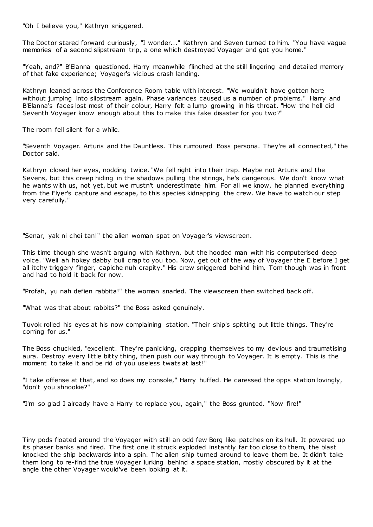"Oh I believe you," Kathryn sniggered.

The Doctor stared forward curiously, "I wonder..." Kathryn and Seven turned to him. "You have vague memories of a second slipstream trip, a one which destroyed Voyager and got you home."

"Yeah, and?" B'Elanna questioned. Harry meanwhile flinched at the still lingering and detailed memory of that fake experience; Voyager's vicious crash landing.

Kathryn leaned across the Conference Room table with interest. "We wouldn't have gotten here without jumping into slipstream again. Phase variances caused us a number of problems." Harry and B'Elanna's faces lost most of their colour, Harry felt a lump growing in his throat. "How the hell did Seventh Voyager know enough about this to make this fake disaster for you two?"

The room fell silent for a while.

"Seventh Voyager. Arturis and the Dauntless. This rumoured Boss persona. They're all connected," the Doctor said.

Kathryn closed her eyes, nodding twice. "We fell right into their trap. Maybe not Arturis and the Sevens, but this creep hiding in the shadows pulling the strings, he's dangerous. We don't know what he wants with us, not yet, but we mustn't underestimate him. For all we know, he planned everything from the Flyer's capture and escape, to this species kidnapping the crew. We have to watch our step very carefully."

"Senar, yak ni chei tan!" the alien woman spat on Voyager's viewscreen.

This time though she wasn't arguing with Kathryn, but the hooded man with his computerised deep voice. "Well ah hokey dabby bull crap to you too. Now, get out of the way of Voyager the E before I get all itchy triggery finger, capiche nuh crapity." His crew sniggered behind him, Tom though was in front and had to hold it back for now.

"Profah, yu nah defien rabbita!" the woman snarled. The viewscreen then switched back off.

"What was that about rabbits?" the Boss asked genuinely.

Tuvok rolled his eyes at his now complaining station. "Their ship's spitting out little things. They're coming for us."

The Boss chuckled, "excellent. They're panicking, crapping themselves to my devious and traumatising aura. Destroy every little bitty thing, then push our way through to Voyager. It is empty. This is the moment to take it and be rid of you useless twats at last!"

"I take offense at that, and so does my console," Harry huffed. He caressed the opps station lovingly, "don't you shnookie?"

"I'm so glad I already have a Harry to replace you, again," the Boss grunted. "Now fire!"

Tiny pods floated around the Voyager with still an odd few Borg like patches on its hull. It powered up its phaser banks and fired. The first one it struck exploded instantly far too close to them, the blast knocked the ship backwards into a spin. The alien ship turned around to leave them be. It didn't take them long to re-find the true Voyager lurking behind a space station, mostly obscured by it at the angle the other Voyager would've been looking at it.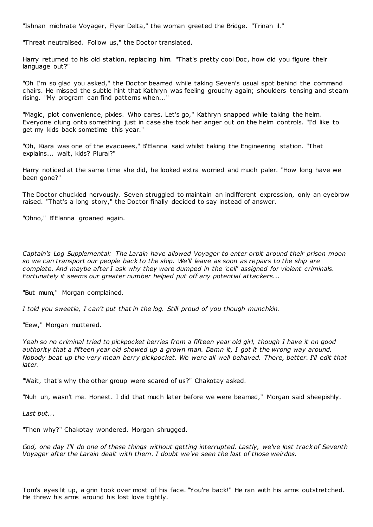"Ishnan michrate Voyager, Flyer Delta," the woman greeted the Bridge. "Trinah il."

"Threat neutralised. Follow us," the Doctor translated.

Harry returned to his old station, replacing him. "That's pretty cool Doc , how did you figure their language out?"

"Oh I'm so glad you asked," the Doctor beamed while taking Seven's usual spot behind the command chairs. He missed the subtle hint that Kathryn was feeling grouchy again; shoulders tensing and steam rising. "My program can find patterns when..."

"Magic, plot convenience, pixies. Who cares. Let's go," Kathryn snapped while taking the helm. Everyone clung onto something just in case she took her anger out on the helm controls. "I'd like to get my kids back sometime this year."

"Oh, Kiara was one of the evacuees," B'Elanna said whilst taking the Engineering station. "That explains... wait, kids? Plural?"

Harry noticed at the same time she did, he looked extra worried and much paler. "How long have we been gone?"

The Doctor chuckled nervously. Seven struggled to maintain an indifferent expression, only an eyebrow raised. "That's a long story," the Doctor finally decided to say instead of answer.

"Ohno," B'Elanna groaned again.

*Captain's Log Supplemental: The Larain have allowed Voyager to enter orbit around their prison moon so we can transport our people back to the ship. We'll leave as soon as repairs to the ship are complete. And maybe after I ask why they were dumped in the 'cell' assigned for violent criminals. Fortunately it seems our greater number helped put off any potential attackers...*

"But mum," Morgan complained.

*I told you sweetie, I can't put that in the log. Still proud of you though munchkin.*

"Eew," Morgan muttered.

*Yeah so no criminal tried to pickpocket berries from a fifteen year old girl, though I have it on good authority that a fifteen year old showed up a grown man. Damn it, I got it the wrong way around. Nobody beat up the very mean berry pickpocket. We were all well behaved. There, better. I'll edit that later.*

"Wait, that's why the other group were scared of us?" Chakotay asked.

"Nuh uh, wasn't me. Honest. I did that much later before we were beamed," Morgan said sheepishly.

*Last but...*

"Then why?" Chakotay wondered. Morgan shrugged.

*God, one day I'll do one of these things without getting interrupted. Lastly, we've lost track of Seventh Voyager after the Larain dealt with them. I doubt we've seen the last of those weirdos.*

Tom's eyes lit up, a grin took over most of his face. "You're back!" He ran with his arms outstretched. He threw his arms around his lost love tightly.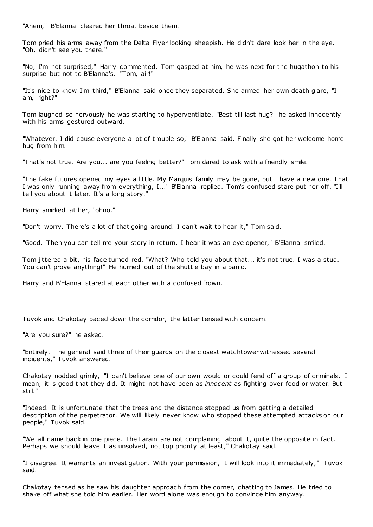"Ahem," B'Elanna cleared her throat beside them.

Tom pried his arms away from the Delta Flyer looking sheepish. He didn't dare look her in the eye. "Oh, didn't see you there."

"No, I'm not surprised," Harry commented. Tom gasped at him, he was next for the hugathon to his surprise but not to B'Elanna's. "Tom, air!"

"It's nice to know I'm third," B'Elanna said once they separated. She armed her own death glare, "I am, right?"

Tom laughed so nervously he was starting to hyperventilate. "Best till last hug?" he asked innocently with his arms gestured outward.

"Whatever. I did cause everyone a lot of trouble so," B'Elanna said. Finally she got her welcome home hug from him.

"That's not true. Are you... are you feeling better?" Tom dared to ask with a friendly smile.

"The fake futures opened my eyes a little. My Marquis family may be gone, but I have a new one. That I was only running away from everything, I..." B'Elanna replied. Tom's confused stare put her off. "I'll tell you about it later. It's a long story."

Harry smirked at her, "ohno."

"Don't worry. There's a lot of that going around. I can't wait to hear it," Tom said.

"Good. Then you can tell me your story in return. I hear it was an eye opener," B'Elanna smiled.

Tom jittered a bit, his face turned red. "What? Who told you about that... it's not true. I was a stud. You can't prove anything!" He hurried out of the shuttle bay in a panic.

Harry and B'Elanna stared at each other with a confused frown.

Tuvok and Chakotay paced down the corridor, the latter tensed with concern.

"Are you sure?" he asked.

"Entirely. The general said three of their guards on the closest watchtower witnessed several incidents," Tuvok answered.

Chakotay nodded grimly, "I can't believe one of our own would or could fend off a group of criminals. I mean, it is good that they did. It might not have been as *innocent* as fighting over food or water. But still."

"Indeed. It is unfortunate that the trees and the distance stopped us from getting a detailed description of the perpetrator. We will likely never know who stopped these attempted attacks on our people," Tuvok said.

"We all came back in one piece. The Larain are not complaining about it, quite the opposite in fact. Perhaps we should leave it as unsolved, not top priority at least," Chakotay said.

"I disagree. It warrants an investigation. With your permission, I will look into it immediately," Tuvok said.

Chakotay tensed as he saw his daughter approach from the corner, chatting to James. He tried to shake off what she told him earlier. Her word alone was enough to convince him anyway.